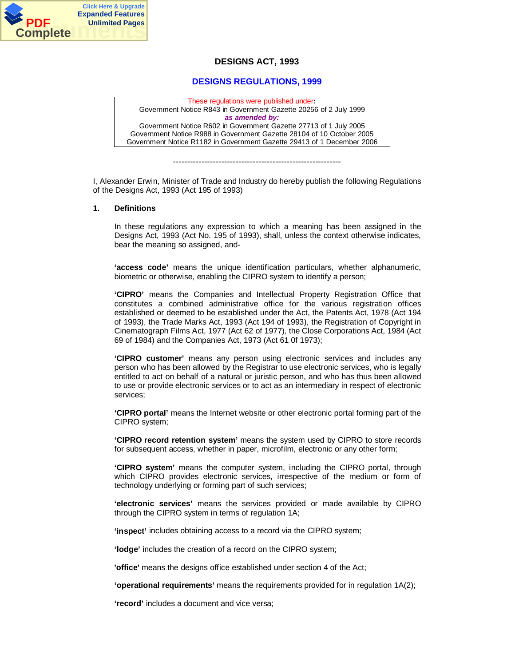

# **DESIGNS ACT, 1993**

# **DESIGNS REGULATIONS, 1999**

These regulations were published under**:** Government Notice R843 in Government Gazette 20256 of 2 July 1999 *as amended by:* Government Notice R602 in Government Gazette 27713 of 1 July 2005 Government Notice R988 in Government Gazette 28104 of 10 October 2005 Government Notice R1182 in Government Gazette 29413 of 1 December 2006

-----------------------------------------------------------

I, Alexander Erwin, Minister of Trade and Industry do hereby publish the following Regulations of the Designs Act, 1993 (Act 195 of 1993)

#### **1. Definitions**

In these regulations any expression to which a meaning has been assigned in the Designs Act, 1993 (Act No. 195 of 1993), shall, unless the context otherwise indicates, bear the meaning so assigned, and-

**'access code'** means the unique identification particulars, whether alphanumeric, biometric or otherwise, enabling the CIPRO system to identify a person;

**'CIPRO'** means the Companies and Intellectual Property Registration Office that constitutes a combined administrative office for the various registration offices established or deemed to be established under the Act, the Patents Act, 1978 (Act 194 of 1993), the Trade Marks Act, 1993 (Act 194 of 1993), the Registration of Copyright in Cinematograph Films Act, 1977 (Act 62 of 1977), the Close Corporations Act, 1984 (Act 69 of 1984) and the Companies Act, 1973 (Act 61 0f 1973);

**'CIPRO customer'** means any person using electronic services and includes any person who has been allowed by the Registrar to use electronic services, who is legally entitled to act on behalf of a natural or juristic person, and who has thus been allowed to use or provide electronic services or to act as an intermediary in respect of electronic services;

**'CIPRO portal'** means the Internet website or other electronic portal forming part of the CIPRO system;

**'CIPRO record retention system'** means the system used by CIPRO to store records for subsequent access, whether in paper, microfilm, electronic or any other form;

**'CIPRO system'** means the computer system, including the CIPRO portal, through which CIPRO provides electronic services, irrespective of the medium or form of technology underlying or forming part of such services;

**'electronic services'** means the services provided or made available by CIPRO through the CIPRO system in terms of regulation 1A;

**'inspect'** includes obtaining access to a record via the CIPRO system;

**'lodge'** includes the creation of a record on the CIPRO system;

**'office'** means the designs office established under section 4 of the Act;

**'operational requirements'** means the requirements provided for in regulation 1A(2);

**'record'** includes a document and vice versa;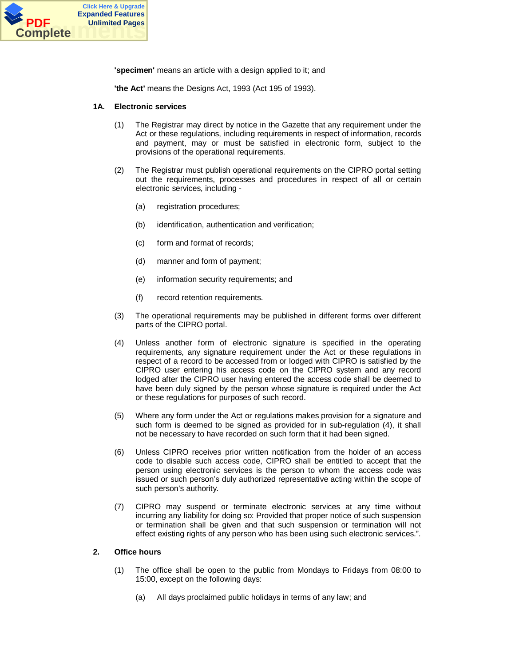

**'specimen'** means an article with a design applied to it; and

**'the Act'** means the Designs Act, 1993 (Act 195 of 1993).

#### **1A. Electronic services**

- (1) The Registrar may direct by notice in the Gazette that any requirement under the Act or these regulations, including requirements in respect of information, records and payment, may or must be satisfied in electronic form, subject to the provisions of the operational requirements.
- (2) The Registrar must publish operational requirements on the CIPRO portal setting out the requirements, processes and procedures in respect of all or certain electronic services, including -
	- (a) registration procedures;
	- (b) identification, authentication and verification;
	- (c) form and format of records;
	- (d) manner and form of payment;
	- (e) information security requirements; and
	- (f) record retention requirements.
- (3) The operational requirements may be published in different forms over different parts of the CIPRO portal.
- (4) Unless another form of electronic signature is specified in the operating requirements, any signature requirement under the Act or these regulations in respect of a record to be accessed from or lodged with CIPRO is satisfied by the CIPRO user entering his access code on the CIPRO system and any record lodged after the CIPRO user having entered the access code shall be deemed to have been duly signed by the person whose signature is required under the Act or these regulations for purposes of such record.
- (5) Where any form under the Act or regulations makes provision for a signature and such form is deemed to be signed as provided for in sub-regulation (4), it shall not be necessary to have recorded on such form that it had been signed.
- (6) Unless CIPRO receives prior written notification from the holder of an access code to disable such access code, CIPRO shall be entitled to accept that the person using electronic services is the person to whom the access code was issued or such person's duly authorized representative acting within the scope of such person's authority.
- (7) CIPRO may suspend or terminate electronic services at any time without incurring any liability for doing so: Provided that proper notice of such suspension or termination shall be given and that such suspension or termination will not effect existing rights of any person who has been using such electronic services.".

#### **2. Office hours**

- (1) The office shall be open to the public from Mondays to Fridays from 08:00 to 15:00, except on the following days:
	- (a) All days proclaimed public holidays in terms of any law; and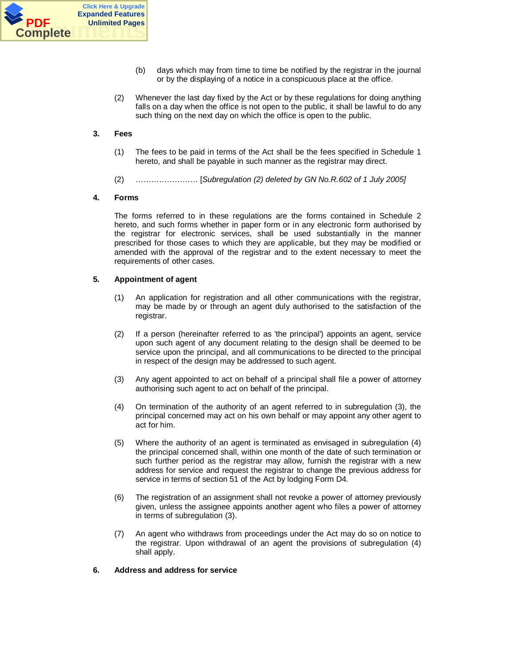

- (b) days which may from time to time be notified by the registrar in the journal or by the displaying of a notice in a conspicuous place at the office.
- (2) Whenever the last day fixed by the Act or by these regulations for doing anything falls on a day when the office is not open to the public, it shall be lawful to do any such thing on the next day on which the office is open to the public.

# **3. Fees**

- (1) The fees to be paid in terms of the Act shall be the fees specified in Schedule 1 hereto, and shall be payable in such manner as the registrar may direct.
- (2) …………………… [*Subregulation (2) deleted by GN No.R.602 of 1 July 2005]*

# **4. Forms**

The forms referred to in these regulations are the forms contained in Schedule 2 hereto, and such forms whether in paper form or in any electronic form authorised by the registrar for electronic services, shall be used substantially in the manner prescribed for those cases to which they are applicable, but they may be modified or amended with the approval of the registrar and to the extent necessary to meet the requirements of other cases.

## **5. Appointment of agent**

- (1) An application for registration and all other communications with the registrar, may be made by or through an agent duly authorised to the satisfaction of the registrar.
- (2) If a person (hereinafter referred to as 'the principal') appoints an agent, service upon such agent of any document relating to the design shall be deemed to be service upon the principal, and all communications to be directed to the principal in respect of the design may be addressed to such agent.
- (3) Any agent appointed to act on behalf of a principal shall file a power of attorney authorising such agent to act on behalf of the principal.
- (4) On termination of the authority of an agent referred to in subregulation (3), the principal concerned may act on his own behalf or may appoint any other agent to act for him.
- (5) Where the authority of an agent is terminated as envisaged in subregulation (4) the principal concerned shall, within one month of the date of such termination or such further period as the registrar may allow, furnish the registrar with a new address for service and request the registrar to change the previous address for service in terms of section 51 of the Act by lodging Form D4.
- (6) The registration of an assignment shall not revoke a power of attorney previously given, unless the assignee appoints another agent who files a power of attorney in terms of subregulation (3).
- (7) An agent who withdraws from proceedings under the Act may do so on notice to the registrar. Upon withdrawal of an agent the provisions of subregulation (4) shall apply.

## **6. Address and address for service**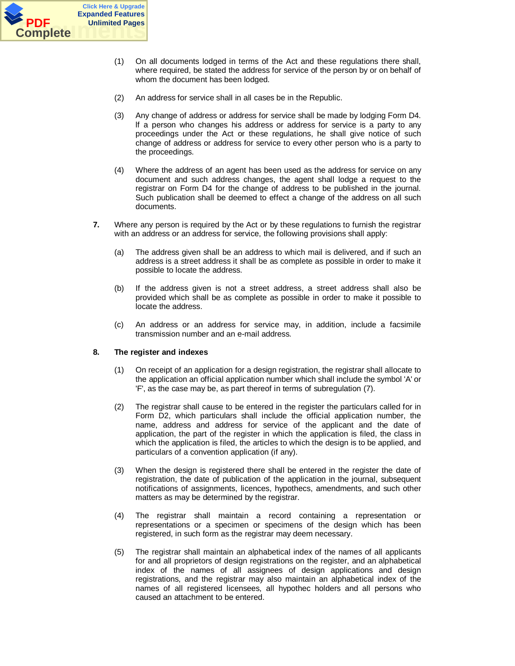

- (1) On all documents lodged in terms of the Act and these regulations there shall, where required, be stated the address for service of the person by or on behalf of whom the document has been lodged.
- (2) An address for service shall in all cases be in the Republic.
- (3) Any change of address or address for service shall be made by lodging Form D4. lf a person who changes his address or address for service is a party to any proceedings under the Act or these regulations, he shall give notice of such change of address or address for service to every other person who is a party to the proceedings.
- (4) Where the address of an agent has been used as the address for service on any document and such address changes, the agent shall lodge a request to the registrar on Form D4 for the change of address to be published in the journal. Such publication shall be deemed to effect a change of the address on all such documents.
- **7.** Where any person is required by the Act or by these regulations to furnish the registrar with an address or an address for service, the following provisions shall apply:
	- (a) The address given shall be an address to which mail is delivered, and if such an address is a street address it shall be as complete as possible in order to make it possible to locate the address.
	- (b) If the address given is not a street address, a street address shall also be provided which shall be as complete as possible in order to make it possible to locate the address.
	- (c) An address or an address for service may, in addition, include a facsimile transmission number and an e-mail address.

## **8. The register and indexes**

- (1) On receipt of an application for a design registration, the registrar shall allocate to the application an official application number which shall include the symbol 'A' or 'F', as the case may be, as part thereof in terms of subregulation (7).
- (2) The registrar shall cause to be entered in the register the particulars called for in Form D2, which particulars shall include the official application number, the name, address and address for service of the applicant and the date of application, the part of the register in which the application is filed, the class in which the application is filed, the articles to which the design is to be applied, and particulars of a convention application (if any).
- (3) When the design is registered there shall be entered in the register the date of registration, the date of publication of the application in the journal, subsequent notifications of assignments, licences, hypothecs, amendments, and such other matters as may be determined by the registrar.
- (4) The registrar shall maintain a record containing a representation or representations or a specimen or specimens of the design which has been registered, in such form as the registrar may deem necessary.
- (5) The registrar shall maintain an alphabetical index of the names of all applicants for and all proprietors of design registrations on the register, and an alphabetical index of the names of all assignees of design applications and design registrations, and the registrar may also maintain an alphabetical index of the names of all registered licensees, all hypothec holders and all persons who caused an attachment to be entered.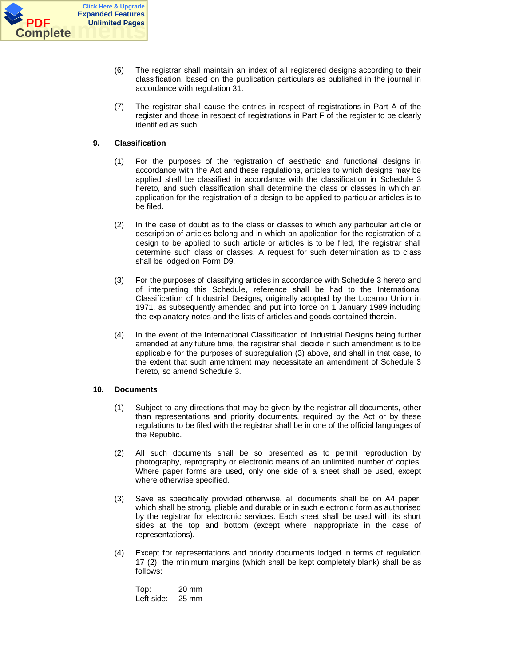

- (6) The registrar shall maintain an index of all registered designs according to their classification, based on the publication particulars as published in the journal in accordance with regulation 31.
- (7) The registrar shall cause the entries in respect of registrations in Part A of the register and those in respect of registrations in Part F of the register to be clearly identified as such.

# **9. Classification**

- (1) For the purposes of the registration of aesthetic and functional designs in accordance with the Act and these regulations, articles to which designs may be applied shall be classified in accordance with the classification in Schedule 3 hereto, and such classification shall determine the class or classes in which an application for the registration of a design to be applied to particular articles is to be filed.
- (2) In the case of doubt as to the class or classes to which any particular article or description of articles belong and in which an application for the registration of a design to be applied to such article or articles is to be filed, the registrar shall determine such class or classes. A request for such determination as to class shall be lodged on Form D9.
- (3) For the purposes of classifying articles in accordance with Schedule 3 hereto and of interpreting this Schedule, reference shall be had to the International Classification of Industrial Designs, originally adopted by the Locarno Union in 1971, as subsequently amended and put into force on 1 January 1989 including the explanatory notes and the lists of articles and goods contained therein.
- (4) In the event of the International Classification of Industrial Designs being further amended at any future time, the registrar shall decide if such amendment is to be applicable for the purposes of subregulation (3) above, and shall in that case, to the extent that such amendment may necessitate an amendment of Schedule 3 hereto, so amend Schedule 3.

## **10. Documents**

- (1) Subject to any directions that may be given by the registrar all documents, other than representations and priority documents, required by the Act or by these regulations to be filed with the registrar shall be in one of the official languages of the Republic.
- (2) All such documents shall be so presented as to permit reproduction by photography, reprography or electronic means of an unlimited number of copies. Where paper forms are used, only one side of a sheet shall be used, except where otherwise specified.
- (3) Save as specifically provided otherwise, all documents shall be on A4 paper, which shall be strong, pliable and durable or in such electronic form as authorised by the registrar for electronic services. Each sheet shall be used with its short sides at the top and bottom (except where inappropriate in the case of representations).
- (4) Except for representations and priority documents lodged in terms of regulation 17 (2), the minimum margins (which shall be kept completely blank) shall be as follows:

Top: 20 mm Left side: 25 mm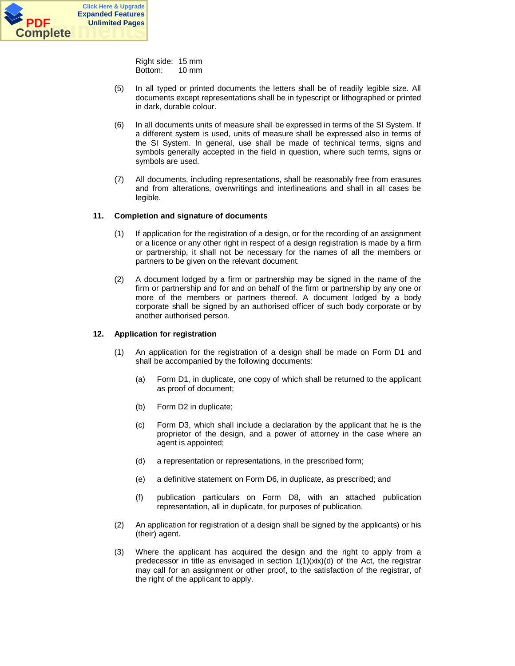

Right side: 15 mm Bottom: 10 mm

- (5) In all typed or printed documents the letters shall be of readily legible size. All documents except representations shall be in typescript or lithographed or printed in dark, durable colour.
- (6) In all documents units of measure shall be expressed in terms of the SI System. If a different system is used, units of measure shall be expressed also in terms of the SI System. In general, use shall be made of technical terms, signs and symbols generally accepted in the field in question, where such terms, signs or symbols are used.
- (7) All documents, including representations, shall be reasonably free from erasures and from alterations, overwritings and interlineations and shall in all cases be legible.

# **11. Completion and signature of documents**

- (1) If application for the registration of a design, or for the recording of an assignment or a licence or any other right in respect of a design registration is made by a firm or partnership, it shall not be necessary for the names of all the members or partners to be given on the relevant document.
- (2) A document lodged by a firm or partnership may be signed in the name of the firm or partnership and for and on behalf of the firm or partnership by any one or more of the members or partners thereof. A document lodged by a body corporate shall be signed by an authorised officer of such body corporate or by another authorised person.

## **12. Application for registration**

- (1) An application for the registration of a design shall be made on Form D1 and shall be accompanied by the following documents:
	- (a) Form D1, in duplicate, one copy of which shall be returned to the applicant as proof of document;
	- (b) Form D2 in duplicate;
	- (c) Form D3, which shall include a declaration by the applicant that he is the proprietor of the design, and a power of attorney in the case where an agent is appointed;
	- (d) a representation or representations, in the prescribed form;
	- (e) a definitive statement on Form D6, in duplicate, as prescribed; and
	- (f) publication particulars on Form D8, with an attached publication representation, all in duplicate, for purposes of publication.
- (2) An application for registration of a design shall be signed by the applicants) or his (their) agent.
- (3) Where the applicant has acquired the design and the right to apply from a predecessor in title as envisaged in section  $1(1)(\dot{X}X)(d)$  of the Act, the registrar may call for an assignment or other proof, to the satisfaction of the registrar, of the right of the applicant to apply.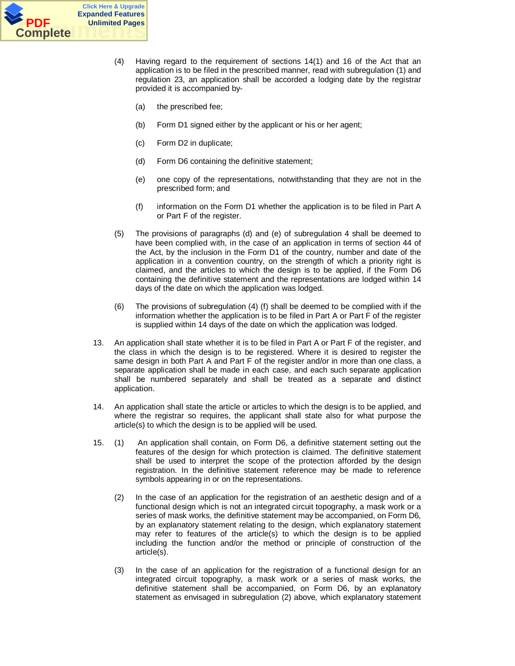

- (4) Having regard to the requirement of sections 14(1) and 16 of the Act that an application is to be filed in the prescribed manner, read with subregulation (1) and regulation 23, an application shall be accorded a lodging date by the registrar provided it is accompanied by-
	- (a) the prescribed fee;
	- (b) Form D1 signed either by the applicant or his or her agent;
	- (c) Form D2 in duplicate;
	- (d) Form D6 containing the definitive statement;
	- (e) one copy of the representations, notwithstanding that they are not in the prescribed form; and
	- (f) information on the Form D1 whether the application is to be filed in Part A or Part F of the register.
- (5) The provisions of paragraphs (d) and (e) of subregulation 4 shall be deemed to have been complied with, in the case of an application in terms of section 44 of the Act, by the inclusion in the Form D1 of the country, number and date of the application in a convention country, on the strength of which a priority right is claimed, and the articles to which the design is to be applied, if the Form D6 containing the definitive statement and the representations are lodged within 14 days of the date on which the application was lodged.
- (6) The provisions of subregulation (4) (f) shall be deemed to be complied with if the information whether the application is to be filed in Part A or Part F of the register is supplied within 14 days of the date on which the application was lodged.
- 13. An application shall state whether it is to be filed in Part A or Part F of the register, and the class in which the design is to be registered. Where it is desired to register the same design in both Part A and Part F of the register and/or in more than one class, a separate application shall be made in each case, and each such separate application shall be numbered separately and shall be treated as a separate and distinct application.
- 14. An application shall state the article or articles to which the design is to be applied, and where the registrar so requires, the applicant shall state also for what purpose the article(s) to which the design is to be applied will be used.
- 15. (1) An application shall contain, on Form D6, a definitive statement setting out the features of the design for which protection is claimed. The definitive statement shall be used to interpret the scope of the protection afforded by the design registration. In the definitive statement reference may be made to reference symbols appearing in or on the representations.
	- (2) In the case of an application for the registration of an aesthetic design and of a functional design which is not an integrated circuit topography, a mask work or a series of mask works, the definitive statement may be accompanied, on Form D6, by an explanatory statement relating to the design, which explanatory statement may refer to features of the article(s) to which the design is to be applied including the function and/or the method or principle of construction of the article(s).
	- (3) In the case of an application for the registration of a functional design for an integrated circuit topography, a mask work or a series of mask works, the definitive statement shall be accompanied, on Form D6, by an explanatory statement as envisaged in subregulation (2) above, which explanatory statement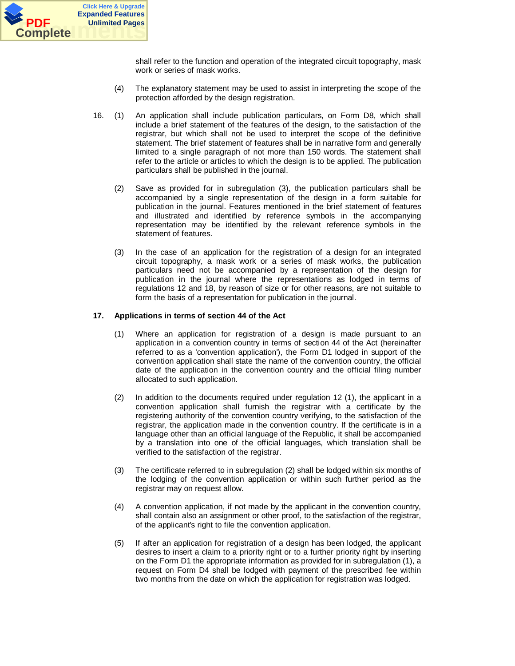

shall refer to the function and operation of the integrated circuit topography, mask work or series of mask works.

- (4) The explanatory statement may be used to assist in interpreting the scope of the protection afforded by the design registration.
- 16. (1) An application shall include publication particulars, on Form D8, which shall include a brief statement of the features of the design, to the satisfaction of the registrar, but which shall not be used to interpret the scope of the definitive statement. The brief statement of features shall be in narrative form and generally limited to a single paragraph of not more than 150 words. The statement shall refer to the article or articles to which the design is to be applied. The publication particulars shall be published in the journal.
	- (2) Save as provided for in subregulation (3), the publication particulars shall be accompanied by a single representation of the design in a form suitable for publication in the journal. Features mentioned in the brief statement of features and illustrated and identified by reference symbols in the accompanying representation may be identified by the relevant reference symbols in the statement of features.
	- (3) In the case of an application for the registration of a design for an integrated circuit topography, a mask work or a series of mask works, the publication particulars need not be accompanied by a representation of the design for publication in the journal where the representations as lodged in terms of regulations 12 and 18, by reason of size or for other reasons, are not suitable to form the basis of a representation for publication in the journal.

## **17. Applications in terms of section 44 of the Act**

- (1) Where an application for registration of a design is made pursuant to an application in a convention country in terms of section 44 of the Act (hereinafter referred to as a 'convention application'), the Form D1 lodged in support of the convention application shall state the name of the convention country, the official date of the application in the convention country and the official filing number allocated to such application.
- (2) In addition to the documents required under regulation 12 (1), the applicant in a convention application shall furnish the registrar with a certificate by the registering authority of the convention country verifying, to the satisfaction of the registrar, the application made in the convention country. If the certificate is in a language other than an official language of the Republic, it shall be accompanied by a translation into one of the official languages, which translation shall be verified to the satisfaction of the registrar.
- (3) The certificate referred to in subregulation (2) shall be lodged within six months of the lodging of the convention application or within such further period as the registrar may on request allow.
- (4) A convention application, if not made by the applicant in the convention country, shall contain also an assignment or other proof, to the satisfaction of the registrar, of the applicant's right to file the convention application.
- (5) If after an application for registration of a design has been lodged, the applicant desires to insert a claim to a priority right or to a further priority right by inserting on the Form D1 the appropriate information as provided for in subregulation (1), a request on Form D4 shall be lodged with payment of the prescribed fee within two months from the date on which the application for registration was lodged.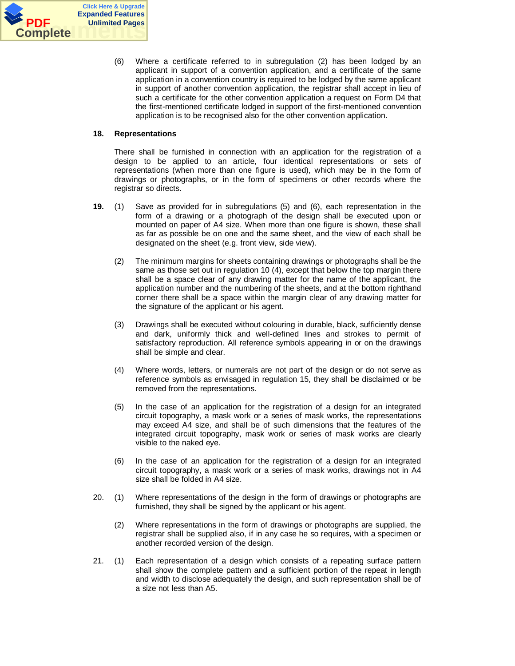

(6) Where a certificate referred to in subregulation (2) has been lodged by an applicant in support of a convention application, and a certificate of the same application in a convention country is required to be lodged by the same applicant in support of another convention application, the registrar shall accept in lieu of such a certificate for the other convention application a request on Form D4 that the first-mentioned certificate lodged in support of the first-mentioned convention application is to be recognised also for the other convention application.

# **18. Representations**

There shall be furnished in connection with an application for the registration of a design to be applied to an article, four identical representations or sets of representations (when more than one figure is used), which may be in the form of drawings or photographs, or in the form of specimens or other records where the registrar so directs.

- **19.** (1) Save as provided for in subregulations (5) and (6), each representation in the form of a drawing or a photograph of the design shall be executed upon or mounted on paper of A4 size. When more than one figure is shown, these shall as far as possible be on one and the same sheet, and the view of each shall be designated on the sheet (e.g. front view, side view).
	- (2) The minimum margins for sheets containing drawings or photographs shall be the same as those set out in regulation 10 (4), except that below the top margin there shall be a space clear of any drawing matter for the name of the applicant, the application number and the numbering of the sheets, and at the bottom righthand corner there shall be a space within the margin clear of any drawing matter for the signature of the applicant or his agent.
	- (3) Drawings shall be executed without colouring in durable, black, sufficiently dense and dark, uniformly thick and well-defined lines and strokes to permit of satisfactory reproduction. All reference symbols appearing in or on the drawings shall be simple and clear.
	- (4) Where words, letters, or numerals are not part of the design or do not serve as reference symbols as envisaged in regulation 15, they shall be disclaimed or be removed from the representations.
	- (5) In the case of an application for the registration of a design for an integrated circuit topography, a mask work or a series of mask works, the representations may exceed A4 size, and shall be of such dimensions that the features of the integrated circuit topography, mask work or series of mask works are clearly visible to the naked eye.
	- (6) In the case of an application for the registration of a design for an integrated circuit topography, a mask work or a series of mask works, drawings not in A4 size shall be folded in A4 size.
- 20. (1) Where representations of the design in the form of drawings or photographs are furnished, they shall be signed by the applicant or his agent.
	- (2) Where representations in the form of drawings or photographs are supplied, the registrar shall be supplied also, if in any case he so requires, with a specimen or another recorded version of the design.
- 21. (1) Each representation of a design which consists of a repeating surface pattern shall show the complete pattern and a sufficient portion of the repeat in length and width to disclose adequately the design, and such representation shall be of a size not less than A5.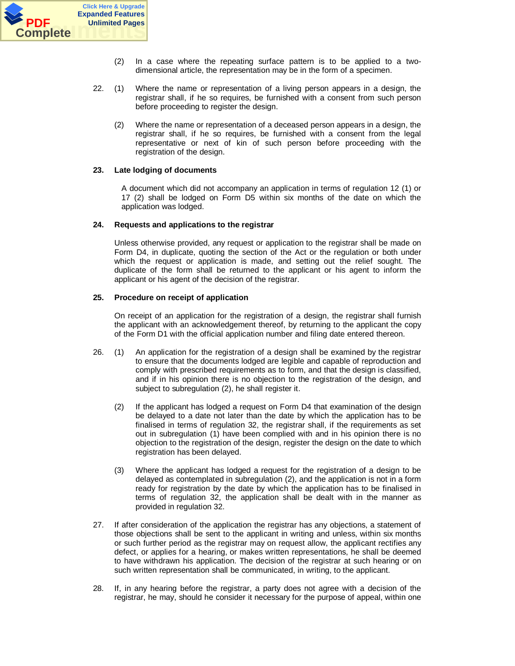

- (2) In a case where the repeating surface pattern is to be applied to a twodimensional article, the representation may be in the form of a specimen.
- 22. (1) Where the name or representation of a living person appears in a design, the registrar shall, if he so requires, be furnished with a consent from such person before proceeding to register the design.
	- (2) Where the name or representation of a deceased person appears in a design, the registrar shall, if he so requires, be furnished with a consent from the legal representative or next of kin of such person before proceeding with the registration of the design.

## **23. Late lodging of documents**

A document which did not accompany an application in terms of regulation 12 (1) or 17 (2) shall be lodged on Form D5 within six months of the date on which the application was lodged.

# **24. Requests and applications to the registrar**

Unless otherwise provided, any request or application to the registrar shall be made on Form D4, in duplicate, quoting the section of the Act or the regulation or both under which the request or application is made, and setting out the relief sought. The duplicate of the form shall be returned to the applicant or his agent to inform the applicant or his agent of the decision of the registrar.

# **25. Procedure on receipt of application**

On receipt of an application for the registration of a design, the registrar shall furnish the applicant with an acknowledgement thereof, by returning to the applicant the copy of the Form D1 with the official application number and filing date entered thereon.

- 26. (1) An application for the registration of a design shall be examined by the registrar to ensure that the documents lodged are legible and capable of reproduction and comply with prescribed requirements as to form, and that the design is classified, and if in his opinion there is no objection to the registration of the design, and subject to subregulation (2), he shall register it.
	- (2) If the applicant has lodged a request on Form D4 that examination of the design be delayed to a date not later than the date by which the application has to be finalised in terms of regulation 32, the registrar shall, if the requirements as set out in subregulation (1) have been complied with and in his opinion there is no objection to the registration of the design, register the design on the date to which registration has been delayed.
	- (3) Where the applicant has lodged a request for the registration of a design to be delayed as contemplated in subregulation (2), and the application is not in a form ready for registration by the date by which the application has to be finalised in terms of regulation 32, the application shall be dealt with in the manner as provided in regulation 32.
- 27. If after consideration of the application the registrar has any objections, a statement of those objections shall be sent to the applicant in writing and unless, within six months or such further period as the registrar may on request allow, the applicant rectifies any defect, or applies for a hearing, or makes written representations, he shall be deemed to have withdrawn his application. The decision of the registrar at such hearing or on such written representation shall be communicated, in writing, to the applicant.
- 28. If, in any hearing before the registrar, a party does not agree with a decision of the registrar, he may, should he consider it necessary for the purpose of appeal, within one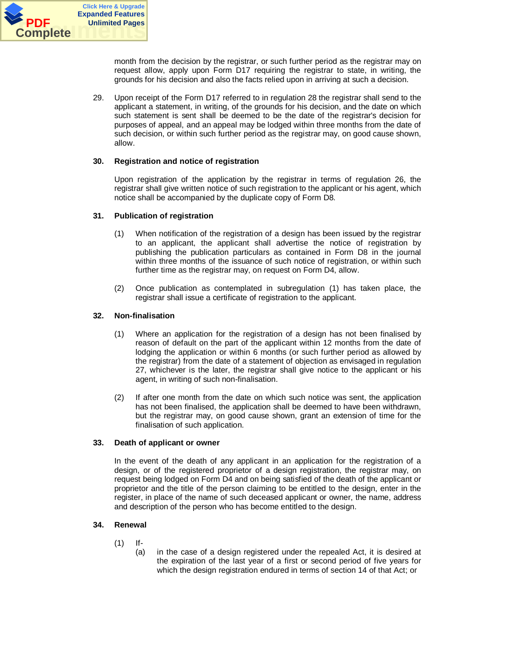

month from the decision by the registrar, or such further period as the registrar may on request allow, apply upon Form D17 requiring the registrar to state, in writing, the grounds for his decision and also the facts relied upon in arriving at such a decision.

29. Upon receipt of the Form D17 referred to in regulation 28 the registrar shall send to the applicant a statement, in writing, of the grounds for his decision, and the date on which such statement is sent shall be deemed to be the date of the registrar's decision for purposes of appeal, and an appeal may be lodged within three months from the date of such decision, or within such further period as the registrar may, on good cause shown, allow.

## **30. Registration and notice of registration**

Upon registration of the application by the registrar in terms of regulation 26, the registrar shall give written notice of such registration to the applicant or his agent, which notice shall be accompanied by the duplicate copy of Form D8.

# **31. Publication of registration**

- (1) When notification of the registration of a design has been issued by the registrar to an applicant, the applicant shall advertise the notice of registration by publishing the publication particulars as contained in Form D8 in the journal within three months of the issuance of such notice of registration, or within such further time as the registrar may, on request on Form D4, allow.
- (2) Once publication as contemplated in subregulation (1) has taken place, the registrar shall issue a certificate of registration to the applicant.

# **32. Non-finalisation**

- (1) Where an application for the registration of a design has not been finalised by reason of default on the part of the applicant within 12 months from the date of lodging the application or within 6 months (or such further period as allowed by the registrar) from the date of a statement of objection as envisaged in regulation 27, whichever is the later, the registrar shall give notice to the applicant or his agent, in writing of such non-finalisation.
- (2) If after one month from the date on which such notice was sent, the application has not been finalised, the application shall be deemed to have been withdrawn, but the registrar may, on good cause shown, grant an extension of time for the finalisation of such application.

## **33. Death of applicant or owner**

In the event of the death of any applicant in an application for the registration of a design, or of the registered proprietor of a design registration, the registrar may, on request being lodged on Form D4 and on being satisfied of the death of the applicant or proprietor and the title of the person claiming to be entitled to the design, enter in the register, in place of the name of such deceased applicant or owner, the name, address and description of the person who has become entitled to the design.

## **34. Renewal**

- (1) If-
	- (a) in the case of a design registered under the repealed Act, it is desired at the expiration of the last year of a first or second period of five years for which the design registration endured in terms of section 14 of that Act; or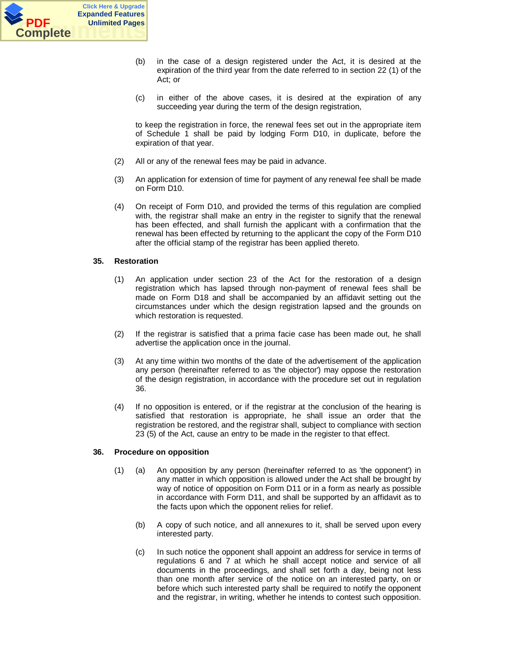

- (b) in the case of a design registered under the Act, it is desired at the expiration of the third year from the date referred to in section 22 (1) of the Act; or
- (c) in either of the above cases, it is desired at the expiration of any succeeding year during the term of the design registration,

to keep the registration in force, the renewal fees set out in the appropriate item of Schedule 1 shall be paid by lodging Form D10, in duplicate, before the expiration of that year.

- (2) All or any of the renewal fees may be paid in advance.
- (3) An application for extension of time for payment of any renewal fee shall be made on Form D10.
- (4) On receipt of Form D10, and provided the terms of this regulation are complied with, the registrar shall make an entry in the register to signify that the renewal has been effected, and shall furnish the applicant with a confirmation that the renewal has been effected by returning to the applicant the copy of the Form D10 after the official stamp of the registrar has been applied thereto.

## **35. Restoration**

- (1) An application under section 23 of the Act for the restoration of a design registration which has lapsed through non-payment of renewal fees shall be made on Form D18 and shall be accompanied by an affidavit setting out the circumstances under which the design registration lapsed and the grounds on which restoration is requested.
- (2) If the registrar is satisfied that a prima facie case has been made out, he shall advertise the application once in the journal.
- (3) At any time within two months of the date of the advertisement of the application any person (hereinafter referred to as 'the objector') may oppose the restoration of the design registration, in accordance with the procedure set out in regulation 36.
- (4) If no opposition is entered, or if the registrar at the conclusion of the hearing is satisfied that restoration is appropriate, he shall issue an order that the registration be restored, and the registrar shall, subject to compliance with section 23 (5) of the Act, cause an entry to be made in the register to that effect.

## **36. Procedure on opposition**

- (1) (a) An opposition by any person (hereinafter referred to as 'the opponent') in any matter in which opposition is allowed under the Act shall be brought by way of notice of opposition on Form D11 or in a form as nearly as possible in accordance with Form D11, and shall be supported by an affidavit as to the facts upon which the opponent relies for relief.
	- (b) A copy of such notice, and all annexures to it, shall be served upon every interested party.
	- (c) In such notice the opponent shall appoint an address for service in terms of regulations 6 and 7 at which he shall accept notice and service of all documents in the proceedings, and shall set forth a day, being not less than one month after service of the notice on an interested party, on or before which such interested party shall be required to notify the opponent and the registrar, in writing, whether he intends to contest such opposition.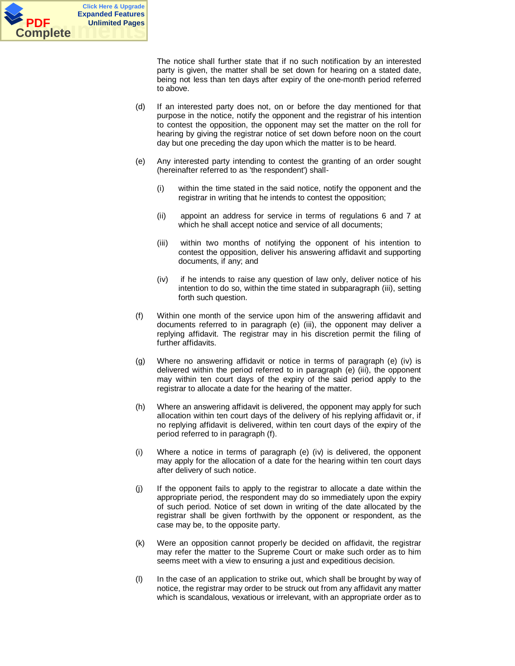

The notice shall further state that if no such notification by an interested party is given, the matter shall be set down for hearing on a stated date, being not less than ten days after expiry of the one-month period referred to above.

- (d) If an interested party does not, on or before the day mentioned for that purpose in the notice, notify the opponent and the registrar of his intention to contest the opposition, the opponent may set the matter on the roll for hearing by giving the registrar notice of set down before noon on the court day but one preceding the day upon which the matter is to be heard.
- (e) Any interested party intending to contest the granting of an order sought (hereinafter referred to as 'the respondent') shall-
	- (i) within the time stated in the said notice, notify the opponent and the registrar in writing that he intends to contest the opposition;
	- (ii) appoint an address for service in terms of regulations 6 and 7 at which he shall accept notice and service of all documents;
	- (iii) within two months of notifying the opponent of his intention to contest the opposition, deliver his answering affidavit and supporting documents, if any; and
	- (iv) if he intends to raise any question of law only, deliver notice of his intention to do so, within the time stated in subparagraph (iii), setting forth such question.
- (f) Within one month of the service upon him of the answering affidavit and documents referred to in paragraph (e) (iii), the opponent may deliver a replying affidavit. The registrar may in his discretion permit the filing of further affidavits.
- (g) Where no answering affidavit or notice in terms of paragraph (e) (iv) is delivered within the period referred to in paragraph (e) (iii), the opponent may within ten court days of the expiry of the said period apply to the registrar to allocate a date for the hearing of the matter.
- (h) Where an answering affidavit is delivered, the opponent may apply for such allocation within ten court days of the delivery of his replying affidavit or, if no replying affidavit is delivered, within ten court days of the expiry of the period referred to in paragraph (f).
- (i) Where a notice in terms of paragraph (e) (iv) is delivered, the opponent may apply for the allocation of a date for the hearing within ten court days after delivery of such notice.
- (j) If the opponent fails to apply to the registrar to allocate a date within the appropriate period, the respondent may do so immediately upon the expiry of such period. Notice of set down in writing of the date allocated by the registrar shall be given forthwith by the opponent or respondent, as the case may be, to the opposite party.
- (k) Were an opposition cannot properly be decided on affidavit, the registrar may refer the matter to the Supreme Court or make such order as to him seems meet with a view to ensuring a just and expeditious decision.
- (l) In the case of an application to strike out, which shall be brought by way of notice, the registrar may order to be struck out from any affidavit any matter which is scandalous, vexatious or irrelevant, with an appropriate order as to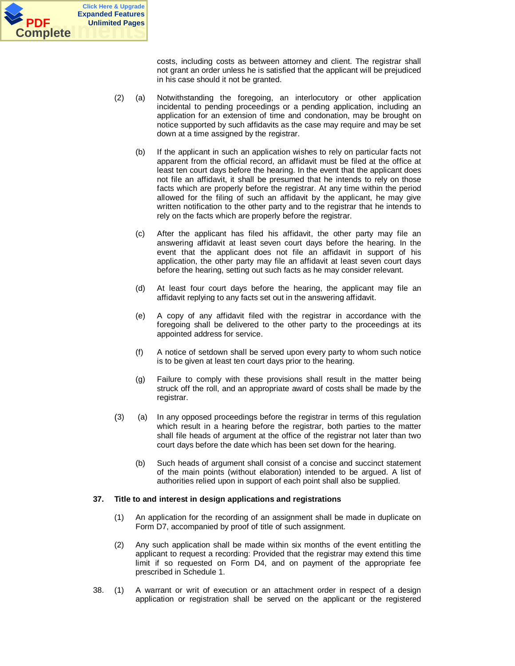

costs, including costs as between attorney and client. The registrar shall not grant an order unless he is satisfied that the applicant will be prejudiced in his case should it not be granted.

- (2) (a) Notwithstanding the foregoing, an interlocutory or other application incidental to pending proceedings or a pending application, including an application for an extension of time and condonation, may be brought on notice supported by such affidavits as the case may require and may be set down at a time assigned by the registrar.
	- (b) If the applicant in such an application wishes to rely on particular facts not apparent from the official record, an affidavit must be filed at the office at least ten court days before the hearing. In the event that the applicant does not file an affidavit, it shall be presumed that he intends to rely on those facts which are properly before the registrar. At any time within the period allowed for the filing of such an affidavit by the applicant, he may give written notification to the other party and to the registrar that he intends to rely on the facts which are properly before the registrar.
	- (c) After the applicant has filed his affidavit, the other party may file an answering affidavit at least seven court days before the hearing. In the event that the applicant does not file an affidavit in support of his application, the other party may file an affidavit at least seven court days before the hearing, setting out such facts as he may consider relevant.
	- (d) At least four court days before the hearing, the applicant may file an affidavit replying to any facts set out in the answering affidavit.
	- (e) A copy of any affidavit filed with the registrar in accordance with the foregoing shall be delivered to the other party to the proceedings at its appointed address for service.
	- (f) A notice of setdown shall be served upon every party to whom such notice is to be given at least ten court days prior to the hearing.
	- (g) Failure to comply with these provisions shall result in the matter being struck off the roll, and an appropriate award of costs shall be made by the registrar.
- (3) (a) In any opposed proceedings before the registrar in terms of this regulation which result in a hearing before the registrar, both parties to the matter shall file heads of argument at the office of the registrar not later than two court days before the date which has been set down for the hearing.
	- (b) Such heads of argument shall consist of a concise and succinct statement of the main points (without elaboration) intended to be argued. A list of authorities relied upon in support of each point shall also be supplied.

## **37. Title to and interest in design applications and registrations**

- (1) An application for the recording of an assignment shall be made in duplicate on Form D7, accompanied by proof of title of such assignment.
- (2) Any such application shall be made within six months of the event entitling the applicant to request a recording: Provided that the registrar may extend this time limit if so requested on Form D4, and on payment of the appropriate fee prescribed in Schedule 1.
- 38. (1) A warrant or writ of execution or an attachment order in respect of a design application or registration shall be served on the applicant or the registered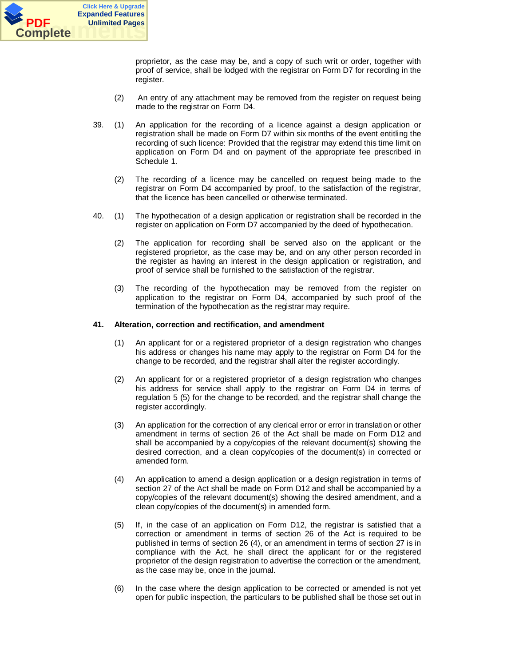

proprietor, as the case may be, and a copy of such writ or order, together with proof of service, shall be lodged with the registrar on Form D7 for recording in the register.

- (2) An entry of any attachment may be removed from the register on request being made to the registrar on Form D4.
- 39. (1) An application for the recording of a licence against a design application or registration shall be made on Form D7 within six months of the event entitling the recording of such licence: Provided that the registrar may extend this time limit on application on Form D4 and on payment of the appropriate fee prescribed in Schedule 1.
	- (2) The recording of a licence may be cancelled on request being made to the registrar on Form D4 accompanied by proof, to the satisfaction of the registrar, that the licence has been cancelled or otherwise terminated.
- 40. (1) The hypothecation of a design application or registration shall be recorded in the register on application on Form D7 accompanied by the deed of hypothecation.
	- (2) The application for recording shall be served also on the applicant or the registered proprietor, as the case may be, and on any other person recorded in the register as having an interest in the design application or registration, and proof of service shall be furnished to the satisfaction of the registrar.
	- (3) The recording of the hypothecation may be removed from the register on application to the registrar on Form D4, accompanied by such proof of the termination of the hypothecation as the registrar may require.

## **41. Alteration, correction and rectification, and amendment**

- (1) An applicant for or a registered proprietor of a design registration who changes his address or changes his name may apply to the registrar on Form D4 for the change to be recorded, and the registrar shall alter the register accordingly.
- (2) An applicant for or a registered proprietor of a design registration who changes his address for service shall apply to the registrar on Form D4 in terms of regulation 5 (5) for the change to be recorded, and the registrar shall change the register accordingly.
- (3) An application for the correction of any clerical error or error in translation or other amendment in terms of section 26 of the Act shall be made on Form D12 and shall be accompanied by a copy/copies of the relevant document(s) showing the desired correction, and a clean copy/copies of the document(s) in corrected or amended form.
- (4) An application to amend a design application or a design registration in terms of section 27 of the Act shall be made on Form D12 and shall be accompanied by a copy/copies of the relevant document(s) showing the desired amendment, and a clean copy/copies of the document(s) in amended form.
- (5) If, in the case of an application on Form D12, the registrar is satisfied that a correction or amendment in terms of section 26 of the Act is required to be published in terms of section 26 (4), or an amendment in terms of section 27 is in compliance with the Act, he shall direct the applicant for or the registered proprietor of the design registration to advertise the correction or the amendment, as the case may be, once in the journal.
- (6) In the case where the design application to be corrected or amended is not yet open for public inspection, the particulars to be published shall be those set out in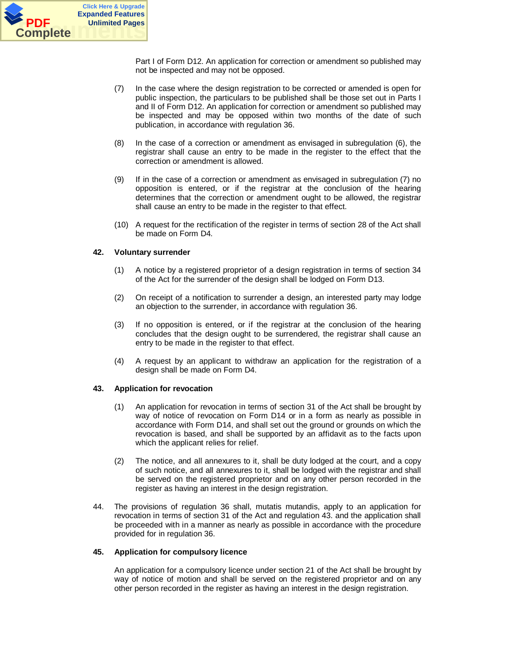

Part I of Form D12. An application for correction or amendment so published may not be inspected and may not be opposed.

- (7) In the case where the design registration to be corrected or amended is open for public inspection, the particulars to be published shall be those set out in Parts I and II of Form D12. An application for correction or amendment so published may be inspected and may be opposed within two months of the date of such publication, in accordance with regulation 36.
- (8) In the case of a correction or amendment as envisaged in subregulation (6), the registrar shall cause an entry to be made in the register to the effect that the correction or amendment is allowed.
- (9) If in the case of a correction or amendment as envisaged in subregulation (7) no opposition is entered, or if the registrar at the conclusion of the hearing determines that the correction or amendment ought to be allowed, the registrar shall cause an entry to be made in the register to that effect.
- (10) A request for the rectification of the register in terms of section 28 of the Act shall be made on Form D4.

## **42. Voluntary surrender**

- (1) A notice by a registered proprietor of a design registration in terms of section 34 of the Act for the surrender of the design shall be lodged on Form D13.
- (2) On receipt of a notification to surrender a design, an interested party may lodge an objection to the surrender, in accordance with regulation 36.
- (3) If no opposition is entered, or if the registrar at the conclusion of the hearing concludes that the design ought to be surrendered, the registrar shall cause an entry to be made in the register to that effect.
- (4) A request by an applicant to withdraw an application for the registration of a design shall be made on Form D4.

## **43. Application for revocation**

- (1) An application for revocation in terms of section 31 of the Act shall be brought by way of notice of revocation on Form D14 or in a form as nearly as possible in accordance with Form D14, and shall set out the ground or grounds on which the revocation is based, and shall be supported by an affidavit as to the facts upon which the applicant relies for relief.
- (2) The notice, and all annexures to it, shall be duty lodged at the court, and a copy of such notice, and all annexures to it, shall be lodged with the registrar and shall be served on the registered proprietor and on any other person recorded in the register as having an interest in the design registration.
- 44. The provisions of regulation 36 shall, mutatis mutandis, apply to an application for revocation in terms of section 31 of the Act and regulation 43. and the application shall be proceeded with in a manner as nearly as possible in accordance with the procedure provided for in regulation 36.

## **45. Application for compulsory licence**

An application for a compulsory licence under section 21 of the Act shall be brought by way of notice of motion and shall be served on the registered proprietor and on any other person recorded in the register as having an interest in the design registration.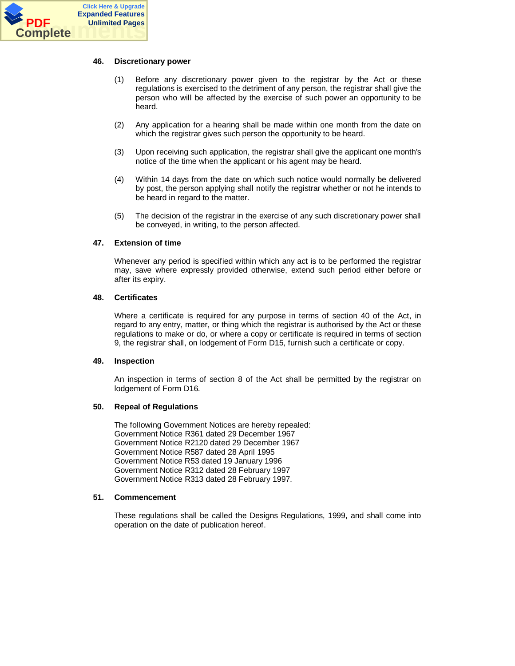

#### **46. Discretionary power**

- (1) Before any discretionary power given to the registrar by the Act or these regulations is exercised to the detriment of any person, the registrar shall give the person who will be affected by the exercise of such power an opportunity to be heard.
- (2) Any application for a hearing shall be made within one month from the date on which the registrar gives such person the opportunity to be heard.
- (3) Upon receiving such application, the registrar shall give the applicant one month's notice of the time when the applicant or his agent may be heard.
- (4) Within 14 days from the date on which such notice would normally be delivered by post, the person applying shall notify the registrar whether or not he intends to be heard in regard to the matter.
- (5) The decision of the registrar in the exercise of any such discretionary power shall be conveyed, in writing, to the person affected.

#### **47. Extension of time**

Whenever any period is specified within which any act is to be performed the registrar may, save where expressly provided otherwise, extend such period either before or after its expiry.

#### **48. Certificates**

Where a certificate is required for any purpose in terms of section 40 of the Act, in regard to any entry, matter, or thing which the registrar is authorised by the Act or these regulations to make or do, or where a copy or certificate is required in terms of section 9, the registrar shall, on lodgement of Form D15, furnish such a certificate or copy.

#### **49. Inspection**

An inspection in terms of section 8 of the Act shall be permitted by the registrar on lodgement of Form D16.

## **50. Repeal of Regulations**

The following Government Notices are hereby repealed: Government Notice R361 dated 29 December 1967 Government Notice R2120 dated 29 December 1967 Government Notice R587 dated 28 April 1995 Government Notice R53 dated 19 January 1996 Government Notice R312 dated 28 February 1997 Government Notice R313 dated 28 February 1997.

#### **51. Commencement**

These regulations shall be called the Designs Regulations, 1999, and shall come into operation on the date of publication hereof.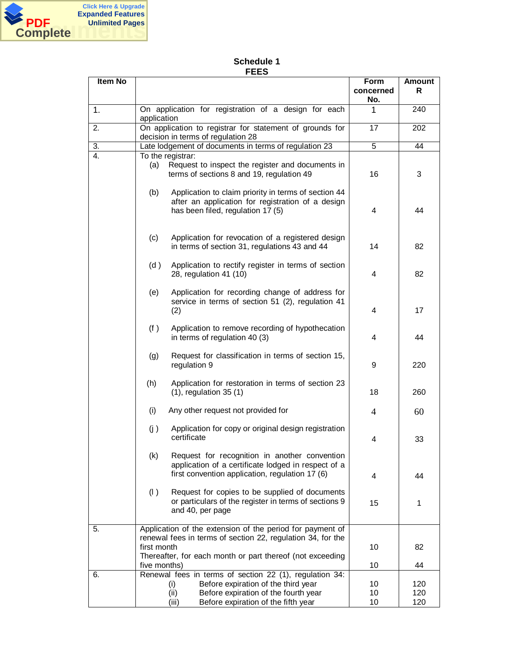

# **Schedule 1 FEES**

| Item No |                                                                                                                                                                                                       | <b>Form</b><br>concerned<br>No. | <b>Amount</b><br>R |
|---------|-------------------------------------------------------------------------------------------------------------------------------------------------------------------------------------------------------|---------------------------------|--------------------|
| 1.      | On application for registration of a design for each<br>application                                                                                                                                   | 1                               | 240                |
| 2.      | On application to registrar for statement of grounds for<br>decision in terms of regulation 28                                                                                                        | 17                              | 202                |
| 3.      | Late lodgement of documents in terms of regulation 23                                                                                                                                                 | 5                               | 44                 |
| 4.      | To the registrar:<br>Request to inspect the register and documents in<br>(a)<br>terms of sections 8 and 19, regulation 49                                                                             | 16                              | 3                  |
|         | (b)<br>Application to claim priority in terms of section 44<br>after an application for registration of a design<br>has been filed, regulation 17 (5)                                                 | 4                               | 44                 |
|         | Application for revocation of a registered design<br>(c)<br>in terms of section 31, regulations 43 and 44                                                                                             | 14                              | 82                 |
|         | (d)<br>Application to rectify register in terms of section<br>28, regulation 41 (10)                                                                                                                  | 4                               | 82                 |
|         | Application for recording change of address for<br>(e)<br>service in terms of section 51 (2), regulation 41<br>(2)                                                                                    | 4                               | 17                 |
|         | (f)<br>Application to remove recording of hypothecation<br>in terms of regulation 40 (3)                                                                                                              | 4                               | 44                 |
|         | Request for classification in terms of section 15,<br>(g)<br>regulation 9                                                                                                                             | 9                               | 220                |
|         | (h)<br>Application for restoration in terms of section 23<br>$(1)$ , regulation 35 $(1)$                                                                                                              | 18                              | 260                |
|         | (i)<br>Any other request not provided for                                                                                                                                                             | 4                               | 60                 |
|         | (j)<br>Application for copy or original design registration<br>certificate                                                                                                                            | 4                               | 33                 |
|         | (k)<br>Request for recognition in another convention<br>application of a certificate lodged in respect of a<br>first convention application, regulation 17 (6)                                        | 4                               | 44                 |
|         | (1)<br>Request for copies to be supplied of documents<br>or particulars of the register in terms of sections 9<br>and 40, per page                                                                    | 15                              | 1                  |
| 5.      | Application of the extension of the period for payment of<br>renewal fees in terms of section 22, regulation 34, for the<br>first month<br>Thereafter, for each month or part thereof (not exceeding  | 10                              | 82                 |
|         | five months)                                                                                                                                                                                          | 10                              | 44                 |
| 6.      | Renewal fees in terms of section 22 (1), regulation 34:<br>Before expiration of the third year<br>(i)<br>Before expiration of the fourth year<br>(ii)<br>Before expiration of the fifth year<br>(iii) | 10<br>10<br>10                  | 120<br>120<br>120  |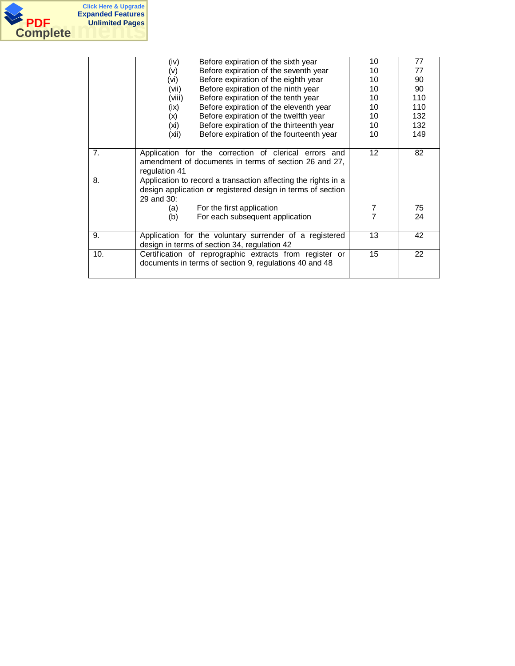

|     | Before expiration of the sixth year<br>(iv)                                                                                                | 10                | 77  |
|-----|--------------------------------------------------------------------------------------------------------------------------------------------|-------------------|-----|
|     | Before expiration of the seventh year<br>(v)                                                                                               | 10                | 77  |
|     | Before expiration of the eighth year<br>(vi)                                                                                               | 10                | 90  |
|     | Before expiration of the ninth year<br>(vii)                                                                                               | 10                | 90  |
|     | Before expiration of the tenth year<br>(viii)                                                                                              | 10                | 110 |
|     | Before expiration of the eleventh year<br>(ix)                                                                                             | 10                | 110 |
|     | Before expiration of the twelfth year<br>(x)                                                                                               | 10                | 132 |
|     | Before expiration of the thirteenth year<br>(xi)                                                                                           | 10                | 132 |
|     | Before expiration of the fourteenth year<br>(xii)                                                                                          | 10                | 149 |
| 7.  | Application for the correction of clerical errors and<br>amendment of documents in terms of section 26 and 27,<br>regulation 41            | $12 \overline{ }$ | 82  |
| 8.  | Application to record a transaction affecting the rights in a<br>design application or registered design in terms of section<br>29 and 30: |                   |     |
|     | For the first application<br>(a)                                                                                                           | 7                 | 75  |
|     | For each subsequent application<br>(b)                                                                                                     | 7                 | 24  |
| 9.  | Application for the voluntary surrender of a registered<br>design in terms of section 34, regulation 42                                    | 13                | 42  |
| 10. | Certification of reprographic extracts from register or<br>documents in terms of section 9, regulations 40 and 48                          | 15                | 22  |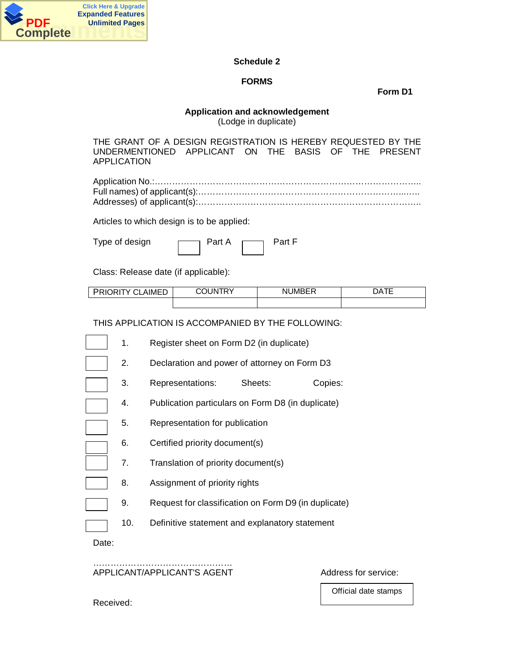

# **Schedule 2**

# **FORMS**

**Form D1**

# **Application and acknowledgement**

(Lodge in duplicate)

THE GRANT OF A DESIGN REGISTRATION IS HEREBY REQUESTED BY THE UNDERMENTIONED APPLICANT ON THE BASIS OF THE PRESENT APPLICATION

Articles to which design is to be applied:

| Type of design | Part A | Part F |
|----------------|--------|--------|
|                |        |        |

Class: Release date (if applicable):

| $\cdots$<br>≙ ∿IME<br>RК<br>`<br>ж | INI<br>ы | --<br>. JMB⊢′<br>NΙ<br>יו∟ש | λΑ |
|------------------------------------|----------|-----------------------------|----|
|                                    |          |                             |    |

THIS APPLICATION IS ACCOMPANIED BY THE FOLLOWING:

- 1. Register sheet on Form D2 (in duplicate)
- 2. Declaration and power of attorney on Form D3
- 3. Representations: Sheets: Copies:
- 4. Publication particulars on Form D8 (in duplicate)
- 5. Representation for publication
- 6. Certified priority document(s)
	- 7. Translation of priority document(s)
- 8. Assignment of priority rights
	- 9. Request for classification on Form D9 (in duplicate)
		- 10. Definitive statement and explanatory statement

Date:

…………………………………………… APPLICANT/APPLICANT'S AGENT AND ADDRESS for service:

Official date stamps

Received: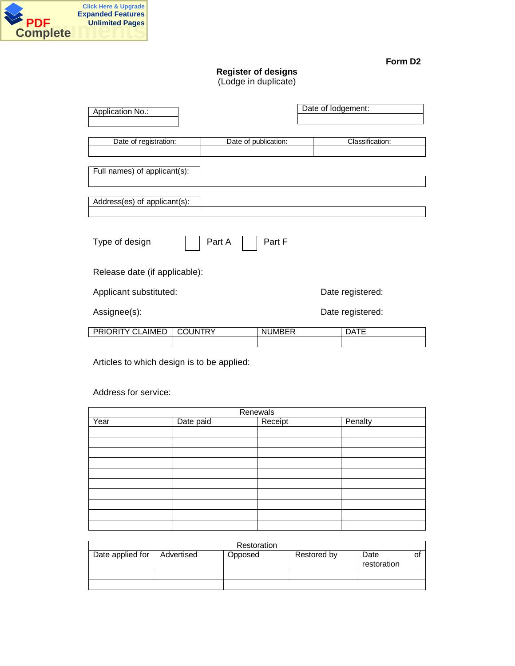

# **Register of designs**

(Lodge in duplicate)

| Application No.:              |                |                      | Date of lodgement: |
|-------------------------------|----------------|----------------------|--------------------|
| Date of registration:         |                | Date of publication: | Classification:    |
|                               |                |                      |                    |
| Full names) of applicant(s):  |                |                      |                    |
| Address(es) of applicant(s):  |                |                      |                    |
|                               |                |                      |                    |
| Type of design                | Part A         | Part F               |                    |
| Release date (if applicable): |                |                      |                    |
| Applicant substituted:        |                |                      | Date registered:   |
| Assignee(s):                  |                |                      | Date registered:   |
| PRIORITY CLAIMED              | <b>COUNTRY</b> | <b>NUMBER</b>        | <b>DATE</b>        |

Articles to which design is to be applied:

# Address for service:

| Renewals |           |         |         |  |
|----------|-----------|---------|---------|--|
| Year     | Date paid | Receipt | Penalty |  |
|          |           |         |         |  |
|          |           |         |         |  |
|          |           |         |         |  |
|          |           |         |         |  |
|          |           |         |         |  |
|          |           |         |         |  |
|          |           |         |         |  |
|          |           |         |         |  |
|          |           |         |         |  |
|          |           |         |         |  |

|                  | Restoration |         |             |                     |  |  |
|------------------|-------------|---------|-------------|---------------------|--|--|
| Date applied for | Advertised  | Opposed | Restored by | Date<br>restoration |  |  |
|                  |             |         |             |                     |  |  |
|                  |             |         |             |                     |  |  |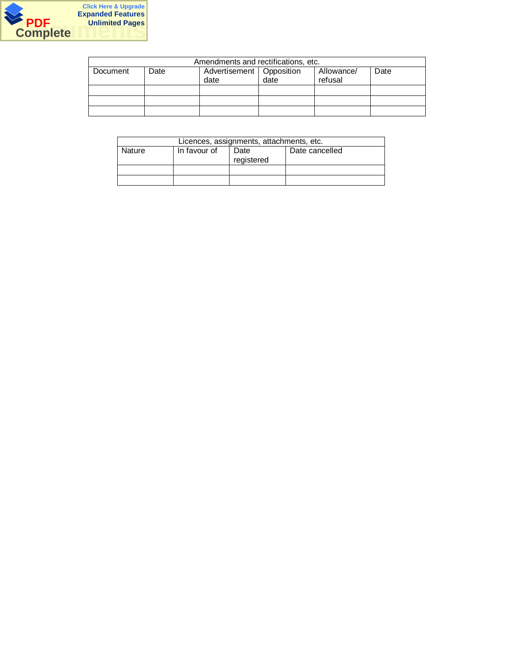

| Amendments and rectifications, etc. |      |                                    |      |                       |      |
|-------------------------------------|------|------------------------------------|------|-----------------------|------|
| Document                            | Date | Advertisement   Opposition<br>date | date | Allowance/<br>refusal | Date |
|                                     |      |                                    |      |                       |      |
|                                     |      |                                    |      |                       |      |
|                                     |      |                                    |      |                       |      |

| Licences, assignments, attachments, etc. |              |                    |                |  |  |
|------------------------------------------|--------------|--------------------|----------------|--|--|
| Nature                                   | In favour of | Date<br>registered | Date cancelled |  |  |
|                                          |              |                    |                |  |  |
|                                          |              |                    |                |  |  |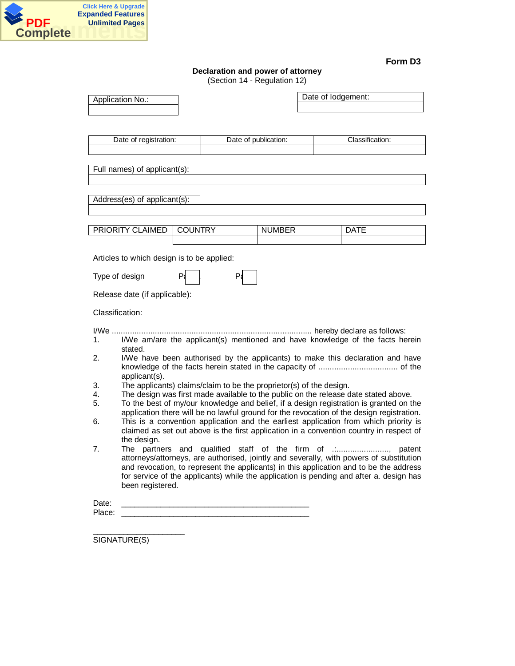

# **Declaration and power of attorney**

(Section 14 - Regulation 12)

| Application No.:                                                                                                                        |    |                      | Date of lodgement:                                                                                                                                                                                                                                                           |
|-----------------------------------------------------------------------------------------------------------------------------------------|----|----------------------|------------------------------------------------------------------------------------------------------------------------------------------------------------------------------------------------------------------------------------------------------------------------------|
| Date of registration:                                                                                                                   |    | Date of publication: | Classification:                                                                                                                                                                                                                                                              |
|                                                                                                                                         |    |                      |                                                                                                                                                                                                                                                                              |
| Full names) of applicant(s):                                                                                                            |    |                      |                                                                                                                                                                                                                                                                              |
| Address(es) of applicant(s):                                                                                                            |    |                      |                                                                                                                                                                                                                                                                              |
|                                                                                                                                         |    |                      |                                                                                                                                                                                                                                                                              |
| PRIORITY CLAIMED<br><b>COUNTRY</b>                                                                                                      |    | <b>NUMBER</b>        | <b>DATE</b>                                                                                                                                                                                                                                                                  |
|                                                                                                                                         |    |                      |                                                                                                                                                                                                                                                                              |
| Articles to which design is to be applied:                                                                                              |    |                      |                                                                                                                                                                                                                                                                              |
| P<br>Type of design                                                                                                                     | P. |                      |                                                                                                                                                                                                                                                                              |
| Release date (if applicable):                                                                                                           |    |                      |                                                                                                                                                                                                                                                                              |
| Classification:                                                                                                                         |    |                      |                                                                                                                                                                                                                                                                              |
| $I/We$<br>1.                                                                                                                            |    |                      | I/We am/are the applicant(s) mentioned and have knowledge of the facts herein                                                                                                                                                                                                |
| stated.<br>2.<br>applicant(s).                                                                                                          |    |                      | I/We have been authorised by the applicants) to make this declaration and have                                                                                                                                                                                               |
| The applicants) claims/claim to be the proprietor(s) of the design.<br>3.                                                               |    |                      |                                                                                                                                                                                                                                                                              |
| 4.<br>5.                                                                                                                                |    |                      | The design was first made available to the public on the release date stated above.<br>To the best of my/our knowledge and belief, if a design registration is granted on the<br>application there will be no lawful ground for the revocation of the design registration.   |
| 6.                                                                                                                                      |    |                      | This is a convention application and the earliest application from which priority is<br>claimed as set out above is the first application in a convention country in respect of                                                                                              |
| the design.<br>7.                                                                                                                       |    |                      | The partners and qualified staff of the firm of<br>patent                                                                                                                                                                                                                    |
|                                                                                                                                         |    |                      | attorneys/attorneys, are authorised, jointly and severally, with powers of substitution<br>and revocation, to represent the applicants) in this application and to be the address<br>for service of the applicants) while the application is pending and after a. design has |
| been registered.                                                                                                                        |    |                      |                                                                                                                                                                                                                                                                              |
| Date:<br>Place:<br><u> 1989 - Johann John Harry Harry Harry Harry Harry Harry Harry Harry Harry Harry Harry Harry Harry Harry Harry</u> |    |                      |                                                                                                                                                                                                                                                                              |
|                                                                                                                                         |    |                      |                                                                                                                                                                                                                                                                              |

SIGNATURE(S)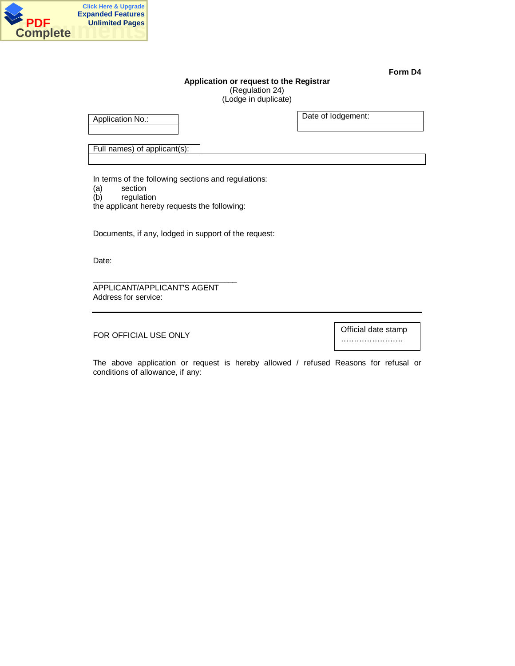

# **Application or request to the Registrar** (Regulation 24)

(Lodge in duplicate)

Application No.:

Date of lodgement:

Full names) of applicant(s):

In terms of the following sections and regulations:

- (a) section
- (b) regulation

the applicant hereby requests the following:

Documents, if any, lodged in support of the request:

Date:

\_\_\_\_\_\_\_\_\_\_\_\_\_\_\_\_\_\_\_\_\_\_\_\_\_\_\_\_\_\_\_\_\_ APPLICANT/APPLICANT'S AGENT Address for service:

FOR OFFICIAL USE ONLY

Official date stamp ……………………

The above application or request is hereby allowed / refused Reasons for refusal or conditions of allowance, if any: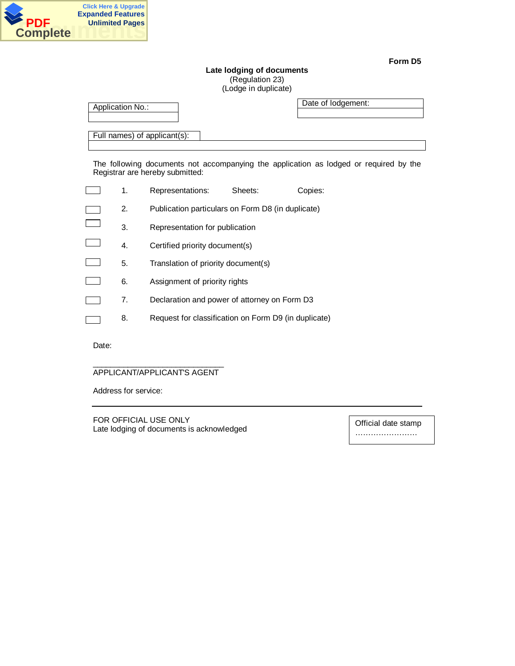

**Late lodging of documents** (Regulation 23) (Lodge in duplicate)

| Application No.: |                                                   |         | Date of Iodgement:                                                                    |  |
|------------------|---------------------------------------------------|---------|---------------------------------------------------------------------------------------|--|
|                  | Full names) of applicant(s):                      |         |                                                                                       |  |
|                  | Registrar are hereby submitted:                   |         | The following documents not accompanying the application as lodged or required by the |  |
| 1.               | Representations:                                  | Sheets: | Copies:                                                                               |  |
| 2.               | Publication particulars on Form D8 (in duplicate) |         |                                                                                       |  |
| 3.               | Representation for publication                    |         |                                                                                       |  |

- 4. Certified priority document(s)
- 5. Translation of priority document(s)
- 6. Assignment of priority rights
	- 7. Declaration and power of attorney on Form D3
	- 8. Request for classification on Form D9 (in duplicate)

Date:

Г

#### \_\_\_\_\_\_\_\_\_\_\_\_\_\_\_\_\_\_\_\_\_\_\_\_\_\_\_\_\_\_ APPLICANT/APPLICANT'S AGENT

Address for service:

FOR OFFICIAL USE ONLY Late lodging of documents is acknowledged

Official date stamp ……………………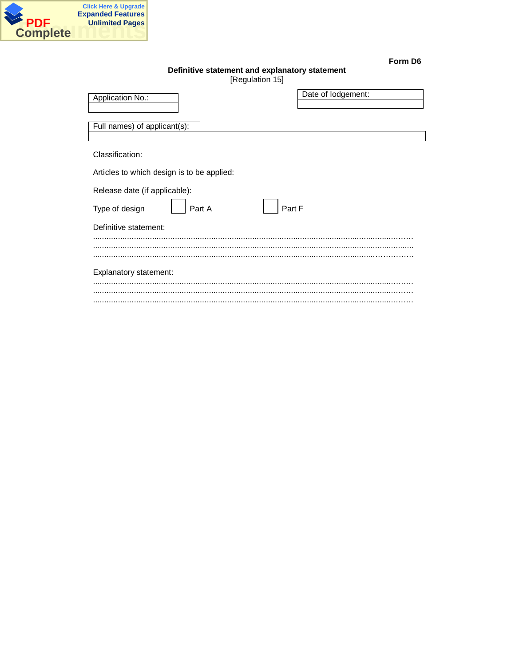

 $\mathsf{l}$ 

| orm | G<br>D |
|-----|--------|
|-----|--------|

# Definitive statement and explanatory statement

| [Regulation 15] |  |
|-----------------|--|
|-----------------|--|

| Application No.:                           | Date of lodgement: |
|--------------------------------------------|--------------------|
| Full names) of applicant(s):               |                    |
| Classification:                            |                    |
| Articles to which design is to be applied: |                    |
| Release date (if applicable):              |                    |
| Part F<br>Type of design<br>Part A         |                    |
| Definitive statement:                      |                    |
|                                            |                    |
|                                            |                    |
| Explanatory statement:                     |                    |
|                                            |                    |
|                                            |                    |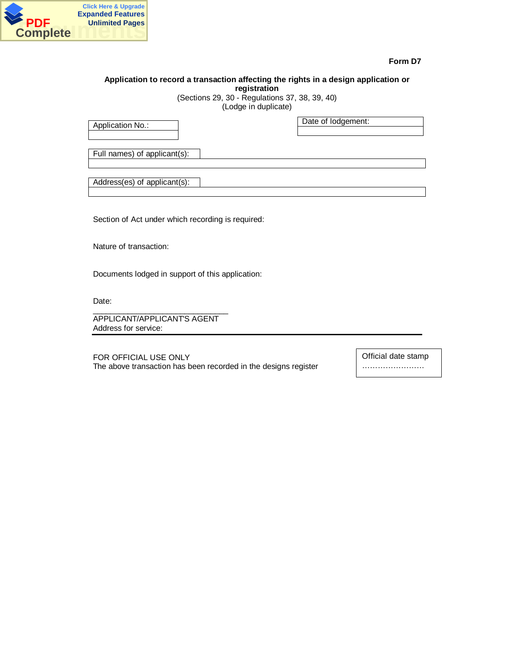

# **Application to record a transaction affecting the rights in a design application or registration**

(Sections 29, 30 - Regulations 37, 38, 39, 40) (Lodge in duplicate)

Application No.:

Date of lodgement:

Full names) of applicant(s):

Address(es) of applicant(s):

Section of Act under which recording is required:

Nature of transaction:

Documents lodged in support of this application:

Date:

\_\_\_\_\_\_\_\_\_\_\_\_\_\_\_\_\_\_\_\_\_\_\_\_\_\_\_\_\_\_\_ APPLICANT/APPLICANT'S AGENT Address for service:

FOR OFFICIAL USE ONLY The above transaction has been recorded in the designs register Official date stamp ……………………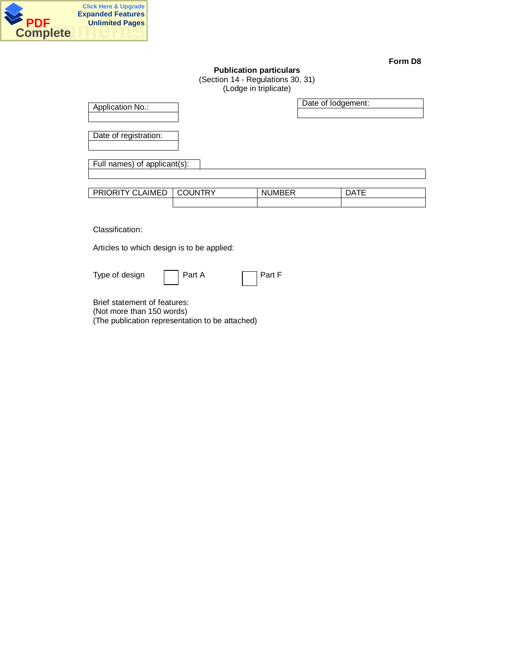

# **Publication particulars** (Section 14 - Regulations 30, 31)

(Lodge in triplicate)

| Application No.:                           |                | Date of lodgement: |             |
|--------------------------------------------|----------------|--------------------|-------------|
| Date of registration:                      |                |                    |             |
| Full names) of applicant(s):               |                |                    |             |
| PRIORITY CLAIMED                           | <b>COUNTRY</b> | <b>NUMBER</b>      | <b>DATE</b> |
| Classification:                            |                |                    |             |
| Articles to which design is to be applied: |                |                    |             |
| Type of design                             | Part A         | Part F             |             |
| Brief statement of features:               |                |                    |             |

(Not more than 150 words) (The publication representation to be attached)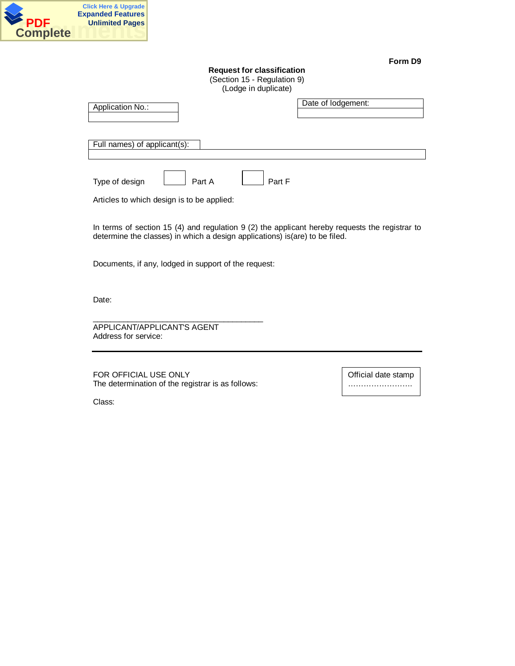

# **Request for classification**

(Section 15 - Regulation 9) (Lodge in duplicate)

| Application No.:                           | Date of lodgement: |
|--------------------------------------------|--------------------|
| Full names) of applicant(s):               |                    |
|                                            |                    |
| Part A<br>Type of design                   | Part F             |
| Articles to which design is to be applied: |                    |

In terms of section 15 (4) and regulation 9 (2) the applicant hereby requests the registrar to determine the classes) in which a design applications) is(are) to be filed.

Documents, if any, lodged in support of the request:

Date:

APPLICANT/APPLICANT'S AGENT Address for service:

FOR OFFICIAL USE ONLY The determination of the registrar is as follows:

\_\_\_\_\_\_\_\_\_\_\_\_\_\_\_\_\_\_\_\_\_\_\_\_\_\_\_\_\_\_\_\_\_\_\_\_\_\_\_

Official date stamp …………………….

.

Class: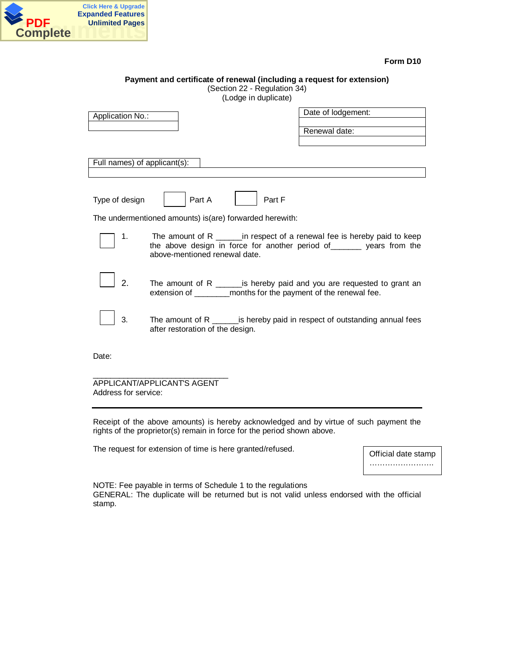

| Payment and certificate of renewal (including a request for extension)<br>(Section 22 - Regulation 34)<br>(Lodge in duplicate)                                                                                                                                                                                                                                                                                                                                                                                                      |  |  |
|-------------------------------------------------------------------------------------------------------------------------------------------------------------------------------------------------------------------------------------------------------------------------------------------------------------------------------------------------------------------------------------------------------------------------------------------------------------------------------------------------------------------------------------|--|--|
| Date of lodgement:<br>Application No.:<br>Renewal date:                                                                                                                                                                                                                                                                                                                                                                                                                                                                             |  |  |
| Full names) of applicant(s):                                                                                                                                                                                                                                                                                                                                                                                                                                                                                                        |  |  |
| Part A<br>Type of design<br>Part F                                                                                                                                                                                                                                                                                                                                                                                                                                                                                                  |  |  |
| The undermentioned amounts) is(are) forwarded herewith:                                                                                                                                                                                                                                                                                                                                                                                                                                                                             |  |  |
| The amount of R $\frac{1}{\sqrt{1-\frac{1}{\sqrt{1-\frac{1}{\sqrt{1-\frac{1}{\sqrt{1-\frac{1}{\sqrt{1-\frac{1}{\sqrt{1-\frac{1}{\sqrt{1-\frac{1}{\sqrt{1-\frac{1}{\sqrt{1-\frac{1}{\sqrt{1-\frac{1}{\sqrt{1-\frac{1}{\sqrt{1-\frac{1}{\sqrt{1-\frac{1}{\sqrt{1-\frac{1}{\sqrt{1-\frac{1}{\sqrt{1-\frac{1}{\sqrt{1-\frac{1}{\sqrt{1-\frac{1}{\sqrt{1-\frac{1}{\sqrt{1-\frac{1}{\sqrt{1-\frac{1}{\sqrt{1-\frac{1}{\$<br>1.<br>the above design in force for another period of _______ years from the<br>above-mentioned renewal date. |  |  |
| 2.<br>The amount of R $\frac{1}{\sqrt{1-\frac{1}{\sqrt{1-\frac{1}{\sqrt{1-\frac{1}{\sqrt{1-\frac{1}{\sqrt{1-\frac{1}{\sqrt{1-\frac{1}{\sqrt{1-\frac{1}{\sqrt{1-\frac{1}{\sqrt{1-\frac{1}{\sqrt{1-\frac{1}{\sqrt{1-\frac{1}{\sqrt{1-\frac{1}{\sqrt{1-\frac{1}{\sqrt{1-\frac{1}{\sqrt{1-\frac{1}{\sqrt{1-\frac{1}{\sqrt{1-\frac{1}{\sqrt{1-\frac{1}{\sqrt{1-\frac{1}{\sqrt{1-\frac{1}{\sqrt{1-\frac{1}{\sqrt{1-\frac{1}{\$<br>extension of __________ months for the payment of the renewal fee.                                      |  |  |
| 3.<br>The amount of $R$ _______ is hereby paid in respect of outstanding annual fees<br>after restoration of the design.                                                                                                                                                                                                                                                                                                                                                                                                            |  |  |
| Date:                                                                                                                                                                                                                                                                                                                                                                                                                                                                                                                               |  |  |
| <b>APPLICANT/APPLICANTS AGENT</b>                                                                                                                                                                                                                                                                                                                                                                                                                                                                                                   |  |  |

Address for service:

Receipt of the above amounts) is hereby acknowledged and by virtue of such payment the rights of the proprietor(s) remain in force for the period shown above.

The request for extension of time is here granted/refused.

Official date stamp …………………….

.

NOTE: Fee payable in terms of Schedule 1 to the regulations GENERAL: The duplicate will be returned but is not valid unless endorsed with the official stamp.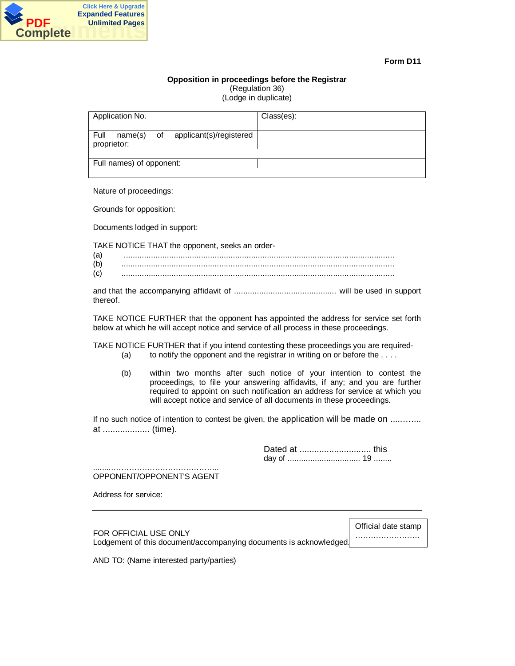

#### **Opposition in proceedings before the Registrar** (Regulation 36)

(Lodge in duplicate)

| Application No.                                           | Class(es): |
|-----------------------------------------------------------|------------|
|                                                           |            |
| Full<br>name(s) of applicant(s)/registered<br>proprietor: |            |
|                                                           |            |
| Full names) of opponent:                                  |            |
|                                                           |            |

Nature of proceedings:

Grounds for opposition:

Documents lodged in support:

TAKE NOTICE THAT the opponent, seeks an order-

| (a |  |
|----|--|
| (b |  |
|    |  |

and that the accompanying affidavit of ............................................. will be used in support thereof.

TAKE NOTICE FURTHER that the opponent has appointed the address for service set forth below at which he will accept notice and service of all process in these proceedings.

TAKE NOTICE FURTHER that if you intend contesting these proceedings you are required- (a) to notify the opponent and the registrar in writing on or before the  $\dots$ .

(b) within two months after such notice of your intention to contest the proceedings, to file your answering affidavits, if any; and you are further required to appoint on such notification an address for service at which you will accept notice and service of all documents in these proceedings.

If no such notice of intention to contest be given, the application will be made on ........... at ................... (time).

> Dated at ............................. this day of ................................ 19 ........

.........………………………………….. OPPONENT/OPPONENT'S AGENT

Address for service:

FOR OFFICIAL USE ONLY Lodgement of this document/accompanying documents is acknowledged.

Official date stamp ……………………. .

AND TO: (Name interested party/parties)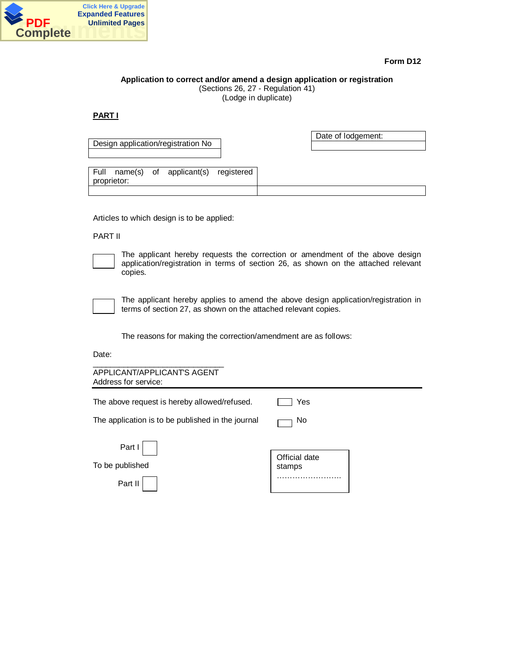

## **Application to correct and/or amend a design application or registration** (Sections 26, 27 - Regulation 41)

(Lodge in duplicate)

**PART I**

|                                         | Date of lodgement: |
|-----------------------------------------|--------------------|
| Design application/registration No      |                    |
|                                         |                    |
|                                         |                    |
| Full name(s) of applicant(s) registered |                    |
| proprietor:                             |                    |
|                                         |                    |
|                                         |                    |

Articles to which design is to be applied:

# PART II

The applicant hereby requests the correction or amendment of the above design application/registration in terms of section 26, as shown on the attached relevant copies.

The applicant hereby applies to amend the above design application/registration in terms of section 27, as shown on the attached relevant copies.

The reasons for making the correction/amendment are as follows:

Date:

| APPLICANT/APPLICANT'S AGENT<br>Address for service: |               |  |
|-----------------------------------------------------|---------------|--|
| The above request is hereby allowed/refused.        | Yes           |  |
| The application is to be published in the journal   | No            |  |
| Part I                                              | Official date |  |
| To be published                                     | stamps        |  |
| Part II                                             |               |  |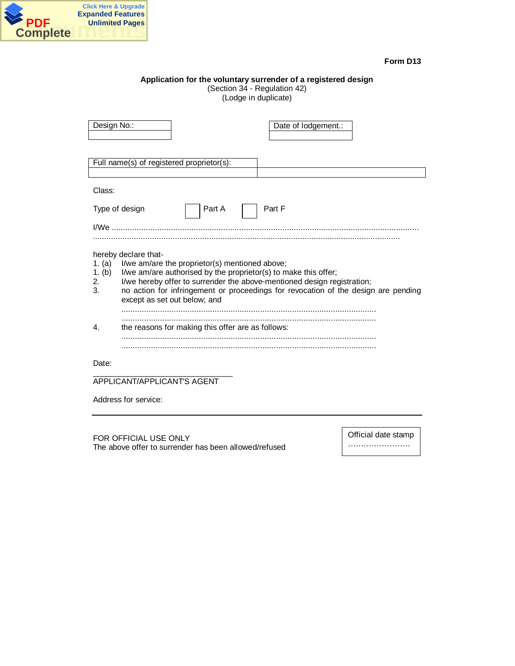

# **Application for the voluntary surrender of a registered design**

(Section 34 - Regulation 42) (Lodge in duplicate)

| Design No.:                  | Date of lodgement.:                                                                                                                                                                                                                                                                                                                        |
|------------------------------|--------------------------------------------------------------------------------------------------------------------------------------------------------------------------------------------------------------------------------------------------------------------------------------------------------------------------------------------|
|                              | Full name(s) of registered proprietor(s):                                                                                                                                                                                                                                                                                                  |
|                              |                                                                                                                                                                                                                                                                                                                                            |
| Class:                       |                                                                                                                                                                                                                                                                                                                                            |
|                              | Part A<br>Part F<br>Type of design                                                                                                                                                                                                                                                                                                         |
|                              |                                                                                                                                                                                                                                                                                                                                            |
| 1. (a)<br>1. (b)<br>2.<br>3. | hereby declare that-<br>I/we am/are the proprietor(s) mentioned above;<br>I/we am/are authorised by the proprietor(s) to make this offer;<br>I/we hereby offer to surrender the above-mentioned design registration;<br>no action for infringement or proceedings for revocation of the design are pending<br>except as set out below; and |
| 4.                           | the reasons for making this offer are as follows:                                                                                                                                                                                                                                                                                          |
| Date:                        | APPLICANT/APPLICANTS AGENT                                                                                                                                                                                                                                                                                                                 |

Address for service:

FOR OFFICIAL USE ONLY The above offer to surrender has been allowed/refused Official date stamp

…………………… …..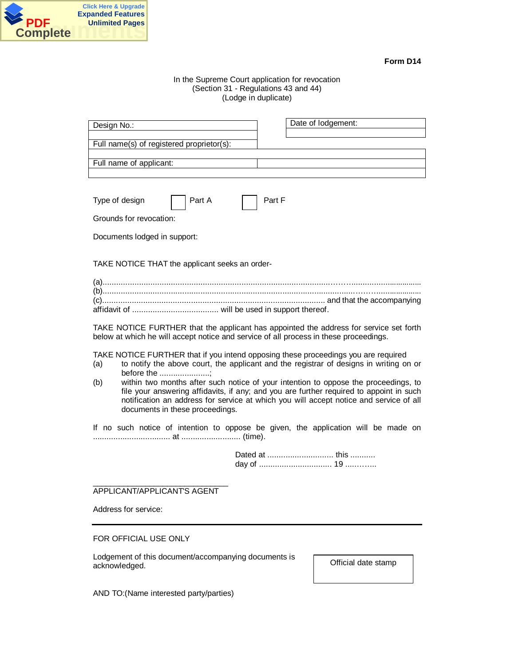

# In the Supreme Court application for revocation (Section 31 - Regulations 43 and 44) (Lodge in duplicate)

| Date of lodgement: |
|--------------------|
|                    |
|                    |
|                    |
|                    |

| Type of design | Part A | $ $ Part F |
|----------------|--------|------------|
|                |        |            |

Grounds for revocation:

Documents lodged in support:

TAKE NOTICE THAT the applicant seeks an order-

| $(a)$ . |  |
|---------|--|
|         |  |
|         |  |
|         |  |

TAKE NOTICE FURTHER that the applicant has appointed the address for service set forth below at which he will accept notice and service of all process in these proceedings.

TAKE NOTICE FURTHER that if you intend opposing these proceedings you are required

- (a) to notify the above court, the applicant and the registrar of designs in writing on or before the ......................;
- (b) within two months after such notice of your intention to oppose the proceedings, to file your answering affidavits, if any; and you are further required to appoint in such notification an address for service at which you will accept notice and service of all documents in these proceedings.

If no such notice of intention to oppose be given, the application will be made on .................................. at .......................... (time).

> Dated at ............................. this ........... day of ................................ 19 .....……..

\_\_\_\_\_\_\_\_\_\_\_\_\_\_\_\_\_\_\_\_\_\_\_\_\_\_\_\_\_\_\_ APPLICANT/APPLICANT'S AGENT

Address for service:

FOR OFFICIAL USE ONLY

Lodgement of this document/accompanying documents is acknowledged.

Official date stamp

AND TO:(Name interested party/parties)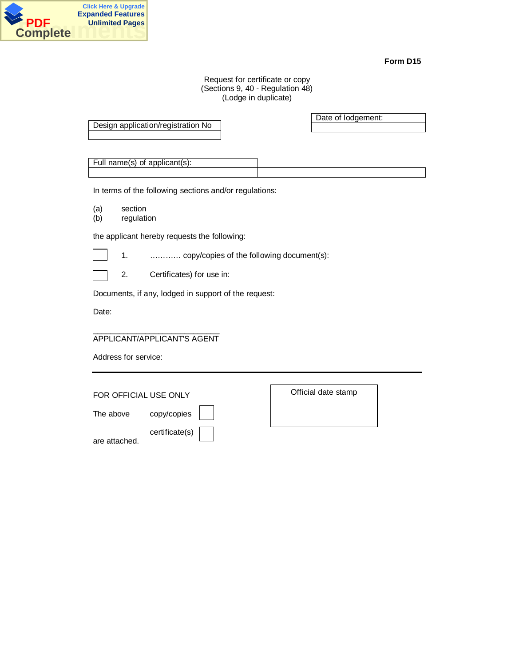

## Request for certificate or copy (Sections 9, 40 - Regulation 48) (Lodge in duplicate)

|     |                                                        | Date of lodgement: |
|-----|--------------------------------------------------------|--------------------|
|     | Design application/registration No                     |                    |
|     |                                                        |                    |
|     |                                                        |                    |
|     |                                                        |                    |
|     | Full name(s) of applicant(s):                          |                    |
|     |                                                        |                    |
|     | In terms of the following sections and/or regulations: |                    |
|     |                                                        |                    |
| (a) | section                                                |                    |
| (b) | regulation                                             |                    |

the applicant hereby requests the following:

1. ………… copy/copies of the following document(s):

2. Certificates) for use in:

Documents, if any, lodged in support of the request:

Date:

#### \_\_\_\_\_\_\_\_\_\_\_\_\_\_\_\_\_\_\_\_\_\_\_\_\_\_\_\_\_ APPLICANT/APPLICANT'S AGENT

Address for service:

FOR OFFICIAL USE ONLY

The above copy/copies

certificate(s)

are attached.

Official date stamp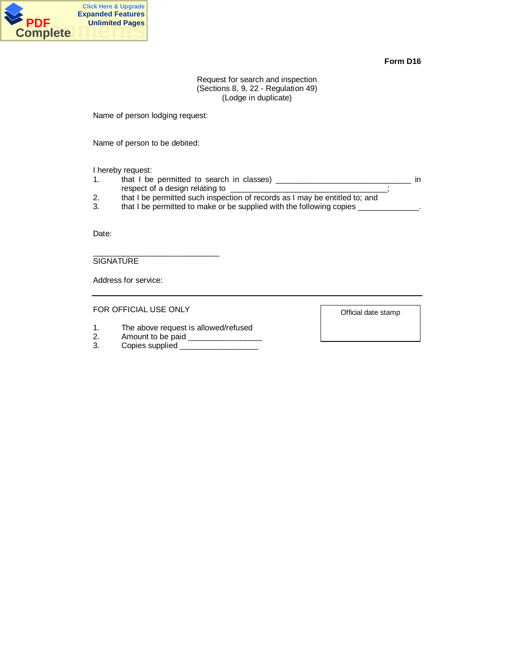

Request for search and inspection (Sections 8, 9, 22 - Regulation 49) (Lodge in duplicate)

Name of person lodging request:

Name of person to be debited:

I hereby request:

- 1. that I be permitted to search in classes) \_\_\_\_\_\_\_\_\_\_\_\_\_\_\_\_\_\_\_\_\_\_\_\_\_\_\_\_\_\_\_\_\_ in respect of a design relating to \_\_\_\_\_\_\_\_\_\_\_\_\_\_\_\_\_\_\_\_\_\_\_\_\_\_\_\_\_\_\_\_\_;
- 2. that I be permitted such inspection of records as I may be entitled to; and
- 3. that I be permitted to make or be supplied with the following copies \_\_\_\_\_\_\_\_

Date:

SIGNATURE

Address for service:

FOR OFFICIAL USE ONLY

\_\_\_\_\_\_\_\_\_\_\_\_\_\_\_\_\_\_\_\_\_\_\_\_\_\_\_\_\_

- 1. The above request is allowed/refused
- 
- 2. Amount to be paid \_\_\_\_\_\_\_\_\_\_\_\_\_\_\_\_\_ 3. Copies supplied \_\_\_\_\_\_\_\_\_\_\_\_\_\_\_\_\_\_

Official date stamp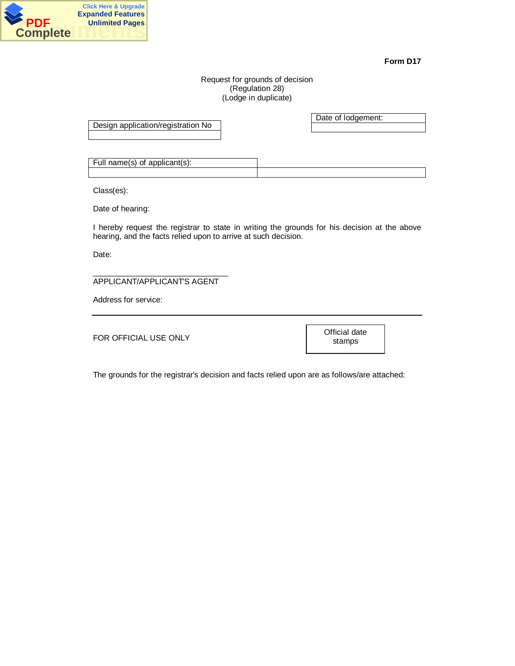

# Request for grounds of decision (Regulation 28) (Lodge in duplicate)

Design application/registration No

Date of lodgement:

Full name(s) of applicant(s):

Class(es):

Date of hearing:

I hereby request the registrar to state in writing the grounds for his decision at the above hearing, and the facts relied upon to arrive at such decision.

Date:

\_\_\_\_\_\_\_\_\_\_\_\_\_\_\_\_\_\_\_\_\_\_\_\_\_\_\_\_\_\_\_ APPLICANT/APPLICANT'S AGENT

Address for service:

FOR OFFICIAL USE ONLY

Official date stamps

The grounds for the registrar's decision and facts relied upon are as follows/are attached: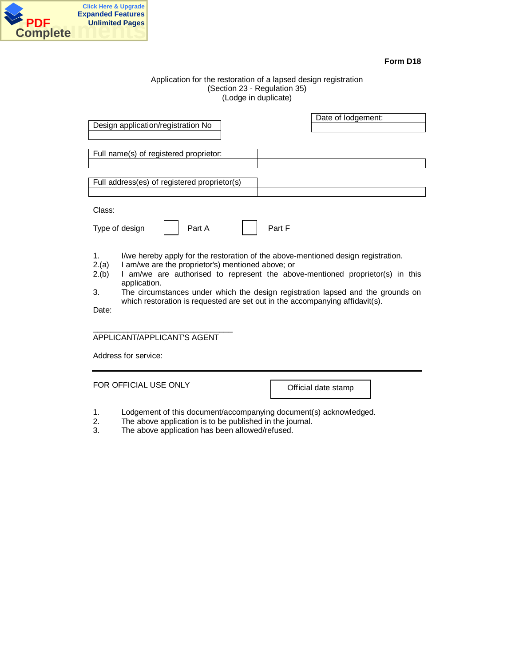

## Application for the restoration of a lapsed design registration (Section 23 - Regulation 35) (Lodge in duplicate)

| Design application/registration No                                                                                                                                                                                                                                                       | Date of lodgement:                                                                          |  |
|------------------------------------------------------------------------------------------------------------------------------------------------------------------------------------------------------------------------------------------------------------------------------------------|---------------------------------------------------------------------------------------------|--|
| Full name(s) of registered proprietor:                                                                                                                                                                                                                                                   |                                                                                             |  |
| Full address(es) of registered proprietor(s)                                                                                                                                                                                                                                             |                                                                                             |  |
| Class:<br>Part A<br>Type of design<br>1.<br>I am/we are the proprietor's) mentioned above; or<br>2.(a)                                                                                                                                                                                   | Part F<br>I/we hereby apply for the restoration of the above-mentioned design registration. |  |
| I am/we are authorised to represent the above-mentioned proprietor(s) in this<br>2.(b)<br>application.<br>3.<br>The circumstances under which the design registration lapsed and the grounds on<br>which restoration is requested are set out in the accompanying affidavit(s).<br>Date: |                                                                                             |  |
| APPLICANT/APPLICANT'S AGENT                                                                                                                                                                                                                                                              |                                                                                             |  |
| Address for service:                                                                                                                                                                                                                                                                     |                                                                                             |  |
| FOR OFFICIAL USE ONLY                                                                                                                                                                                                                                                                    | Official date stamp                                                                         |  |

- 1. Lodgement of this document/accompanying document(s) acknowledged.
- 2. The above application is to be published in the journal.
- 3. The above application has been allowed/refused.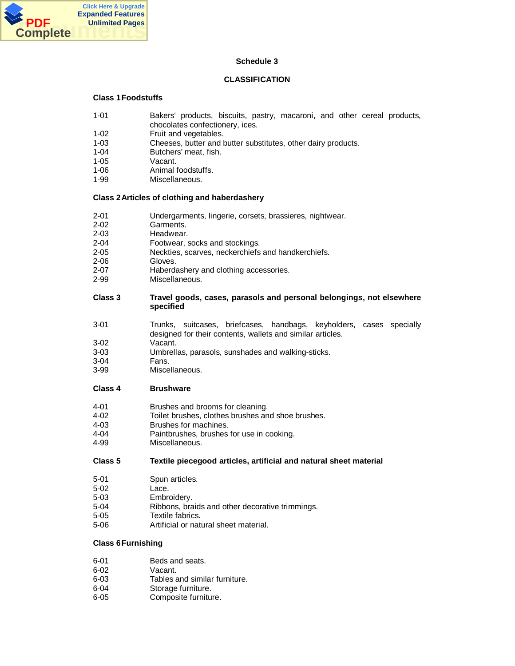

# **Schedule 3**

# **CLASSIFICATION**

# **Class 1 Foodstuffs**

- 1-01 Bakers' products, biscuits, pastry, macaroni, and other cereal products,
- chocolates confectionery, ices.
- 1-02 Fruit and vegetables.<br>1-03 Cheeses, butter and b
- 1-03 Cheeses, butter and butter substitutes, other dairy products.
- 1-04 Butchers' meat, fish.<br>1-05 Vacant.
- Vacant.
- 1-06 Animal foodstuffs.
- 1-99 Miscellaneous.

# **Class 2 Articles of clothing and haberdashery**

- 2-01 Undergarments, lingerie, corsets, brassieres, nightwear.
- 2-02 Garments.<br>2-03 Headwear.
- Headwear.
- 2-04 Footwear, socks and stockings.
- 2-05 Neckties, scarves, neckerchiefs and handkerchiefs.
- 2-06 Gloves.
- 2-07 **Haberdashery and clothing accessories.**<br>2-99 Miscellaneous.
- Miscellaneous.

## **Class 3 Travel goods, cases, parasols and personal belongings, not elsewhere specified**

- 3-01 Trunks, suitcases, briefcases, handbags, keyholders, cases specially designed for their contents, wallets and similar articles.
- 3-02 Vacant.
- 3-03 Umbrellas, parasols, sunshades and walking-sticks.
- 3-04 Fans.
- Miscellaneous.

## **Class 4 Brushware**

- 4-01 Brushes and brooms for cleaning.
- 4-02 Toilet brushes, clothes brushes and shoe brushes.<br>4-03 Brushes for machines.
- Brushes for machines.
- 4-04 Paintbrushes, brushes for use in cooking.
- 4-99 Miscellaneous.

## **Class 5 Textile piecegood articles, artificial and natural sheet material**

- 5-01 Spun articles.
- 5-02 Lace.
- 5-03 Embroidery.
- 5-04 Ribbons, braids and other decorative trimmings.
- 5-05 Textile fabrics.
- 5-06 Artificial or natural sheet material.

# **Class 6 Furnishing**

- 6-01 Beds and seats.
- 6-02 Vacant.
- 6-03 Tables and similar furniture.
- 6-04 Storage furniture.
- 6-05 Composite furniture.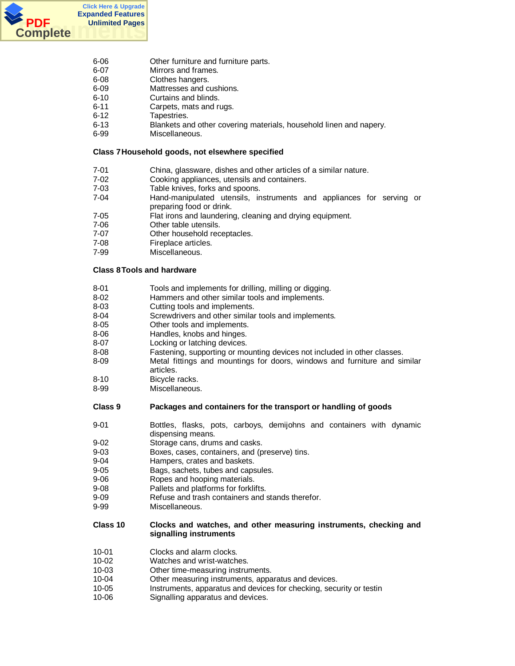

- 6-06 Other furniture and furniture parts.
- 6-07 Mirrors and frames.
- 6-08 Clothes hangers.
- 6-09 Mattresses and cushions.
- 6-10 Curtains and blinds.
- 6-11 Carpets, mats and rugs.
- 6-12 Tapestries.
- 6-13 Blankets and other covering materials, household linen and napery.
- 6-99 Miscellaneous.

## **Class 7 Household goods, not elsewhere specified**

- 7-01 China, glassware, dishes and other articles of a similar nature.
- 7-02 Cooking appliances, utensils and containers.
- 7-03 Table knives, forks and spoons.
- 7-04 Hand-manipulated utensils, instruments and appliances for serving or preparing food or drink.
- 7-05 Flat irons and laundering, cleaning and drying equipment.
- 7-06 Other table utensils.
- 7-07 Other household receptacles.
- 7-08 Fireplace articles.<br>7-99 Miscellaneous.
- Miscellaneous.

# **Class 8 Tools and hardware**

- 8-01 Tools and implements for drilling, milling or digging.
- 8-02 Hammers and other similar tools and implements.
- 8-03 Cutting tools and implements.
- 8-04 Screwdrivers and other similar tools and implements.<br>8-05 Other tools and implements.
- Other tools and implements.
- 8-06 **Handles, knobs and hinges.**<br>8-07 **https:** Locking or latching devices.
- Locking or latching devices.
- 8-08 Fastening, supporting or mounting devices not included in other classes.
- 8-09 Metal fittings and mountings for doors, windows and furniture and similar articles.
- 8-10 Bicycle racks.
- 8-99 Miscellaneous.

# **Class 9 Packages and containers for the transport or handling of goods**

- 9-01 Bottles, flasks, pots, carboys, demijohns and containers with dynamic dispensing means.
- 9-02 Storage cans, drums and casks.
- 9-03 Boxes, cases, containers, and (preserve) tins.
- 9-04 Hampers, crates and baskets.
- 9-05 Bags, sachets, tubes and capsules.
- 9-06 Ropes and hooping materials.
- 9-08 Pallets and platforms for forklifts.
- 9-09 Refuse and trash containers and stands therefor.
- 9-99 Miscellaneous.

# **Class 10 Clocks and watches, and other measuring instruments, checking and signalling instruments**

- 10-01 Clocks and alarm clocks.
- 10-02 Watches and wrist-watches.
- 10-03 Other time-measuring instruments.
- 10-04 Other measuring instruments, apparatus and devices.
- 10-05 Instruments, apparatus and devices for checking, security or testin
- 10-06 Signalling apparatus and devices.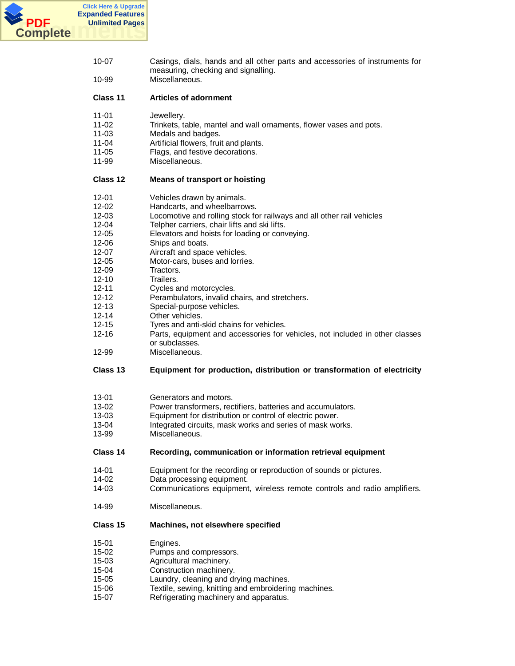

| 10-99          | Casings, dials, hands and all other parts and accessories of instruments for<br>measuring, checking and signalling.<br>Miscellaneous. |
|----------------|---------------------------------------------------------------------------------------------------------------------------------------|
|                |                                                                                                                                       |
| Class 11       | <b>Articles of adornment</b>                                                                                                          |
| 11-01          | Jewellery.                                                                                                                            |
| $11 - 02$      | Trinkets, table, mantel and wall ornaments, flower vases and pots.                                                                    |
| $11 - 03$      | Medals and badges.                                                                                                                    |
| 11-04          | Artificial flowers, fruit and plants.                                                                                                 |
| 11-05<br>11-99 | Flags, and festive decorations.<br>Miscellaneous.                                                                                     |
| Class 12       | <b>Means of transport or hoisting</b>                                                                                                 |
| $12 - 01$      | Vehicles drawn by animals.                                                                                                            |
| $12 - 02$      | Handcarts, and wheelbarrows.                                                                                                          |
| $12 - 03$      | Locomotive and rolling stock for railways and all other rail vehicles                                                                 |
| 12-04          | Telpher carriers, chair lifts and ski lifts.                                                                                          |
| $12 - 05$      | Elevators and hoists for loading or conveying.                                                                                        |
| 12-06          | Ships and boats.                                                                                                                      |
| $12 - 07$      | Aircraft and space vehicles.                                                                                                          |
| $12 - 05$      | Motor-cars, buses and lorries.                                                                                                        |
| $12 - 09$      | Tractors.                                                                                                                             |
| $12 - 10$      | Trailers.                                                                                                                             |
| 12-11          | Cycles and motorcycles.                                                                                                               |
| $12 - 12$      | Perambulators, invalid chairs, and stretchers.                                                                                        |
| $12 - 13$      | Special-purpose vehicles.                                                                                                             |
| $12 - 14$      | Other vehicles.                                                                                                                       |
| $12 - 15$      | Tyres and anti-skid chains for vehicles.                                                                                              |
| $12 - 16$      | Parts, equipment and accessories for vehicles, not included in other classes                                                          |
|                | or subclasses.                                                                                                                        |
| 12-99          | Miscellaneous.                                                                                                                        |
| Class 13       | Equipment for production, distribution or transformation of electricity                                                               |
| $13 - 01$      | Generators and motors.                                                                                                                |
|                |                                                                                                                                       |
|                |                                                                                                                                       |
| $13 - 02$      | Power transformers, rectifiers, batteries and accumulators.                                                                           |
| $13 - 03$      | Equipment for distribution or control of electric power.                                                                              |
| 13-04<br>13-99 | Integrated circuits, mask works and series of mask works.<br>Miscellaneous.                                                           |
| Class 14       | Recording, communication or information retrieval equipment                                                                           |
| 14-01          |                                                                                                                                       |
| 14-02          | Equipment for the recording or reproduction of sounds or pictures.                                                                    |
| 14-03          | Data processing equipment.<br>Communications equipment, wireless remote controls and radio amplifiers.                                |
| 14-99          | Miscellaneous.                                                                                                                        |
| Class 15       | Machines, not elsewhere specified                                                                                                     |
|                |                                                                                                                                       |
| $15 - 01$      | Engines.                                                                                                                              |
| $15 - 02$      | Pumps and compressors.                                                                                                                |
| $15 - 03$      | Agricultural machinery.                                                                                                               |
| 15-04          | Construction machinery.                                                                                                               |
| $15 - 05$      | Laundry, cleaning and drying machines.                                                                                                |
| 15-06          | Textile, sewing, knitting and embroidering machines.                                                                                  |
| 15-07          | Refrigerating machinery and apparatus.                                                                                                |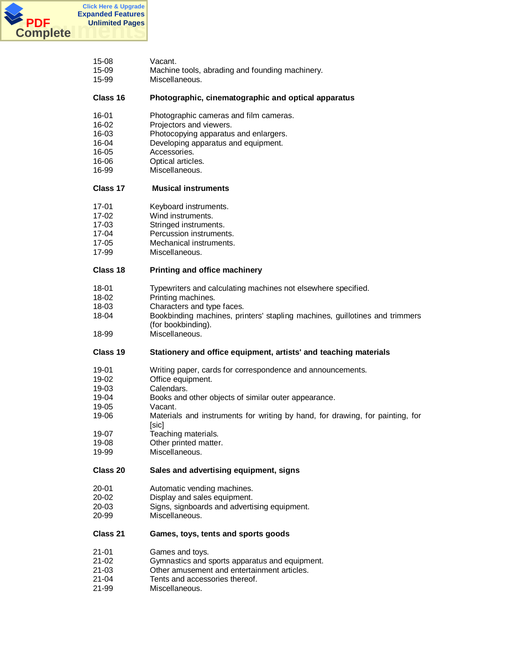

| 15-08     | Vacant.                                                                       |
|-----------|-------------------------------------------------------------------------------|
| 15-09     | Machine tools, abrading and founding machinery.                               |
| 15-99     | Miscellaneous.                                                                |
| Class 16  | Photographic, cinematographic and optical apparatus                           |
| 16-01     | Photographic cameras and film cameras.                                        |
| 16-02     | Projectors and viewers.                                                       |
| 16-03     | Photocopying apparatus and enlargers.                                         |
| 16-04     | Developing apparatus and equipment.                                           |
| 16-05     | Accessories.                                                                  |
| 16-06     | Optical articles.                                                             |
| 16-99     | Miscellaneous.                                                                |
| Class 17  | <b>Musical instruments</b>                                                    |
| 17-01     | Keyboard instruments.                                                         |
| 17-02     | Wind instruments.                                                             |
| 17-03     | Stringed instruments.                                                         |
| 17-04     | Percussion instruments.                                                       |
| $17 - 05$ |                                                                               |
| 17-99     | Mechanical instruments.<br>Miscellaneous.                                     |
| Class 18  | Printing and office machinery                                                 |
| 18-01     | Typewriters and calculating machines not elsewhere specified.                 |
| 18-02     | Printing machines.                                                            |
| 18-03     | Characters and type faces.                                                    |
| 18-04     | Bookbinding machines, printers' stapling machines, guillotines and trimmers   |
| 18-99     | (for bookbinding).<br>Miscellaneous.                                          |
| Class 19  | Stationery and office equipment, artists' and teaching materials              |
| 19-01     | Writing paper, cards for correspondence and announcements.                    |
| 19-02     | Office equipment.                                                             |
| 19-03     | Calendars.                                                                    |
| 19-04     | Books and other objects of similar outer appearance.                          |
| 19-05     | Vacant.                                                                       |
| 19-06     | Materials and instruments for writing by hand, for drawing, for painting, for |
|           | [sic]                                                                         |
| 19-07     | Teaching materials.                                                           |
| 19-08     | Other printed matter.                                                         |
| 19-99     | Miscellaneous.                                                                |
| Class 20  | Sales and advertising equipment, signs                                        |
| 20-01     | Automatic vending machines.                                                   |
| $20 - 02$ | Display and sales equipment.                                                  |
| 20-03     | Signs, signboards and advertising equipment.                                  |
| 20-99     | Miscellaneous.                                                                |
| Class 21  | Games, toys, tents and sports goods                                           |
| $21 - 01$ | Games and toys.                                                               |
| $21 - 02$ | Gymnastics and sports apparatus and equipment.                                |
| $21 - 03$ | Other amusement and entertainment articles.                                   |
| 21-04     | Tents and accessories thereof.                                                |
| 21-99     | Miscellaneous.                                                                |
|           |                                                                               |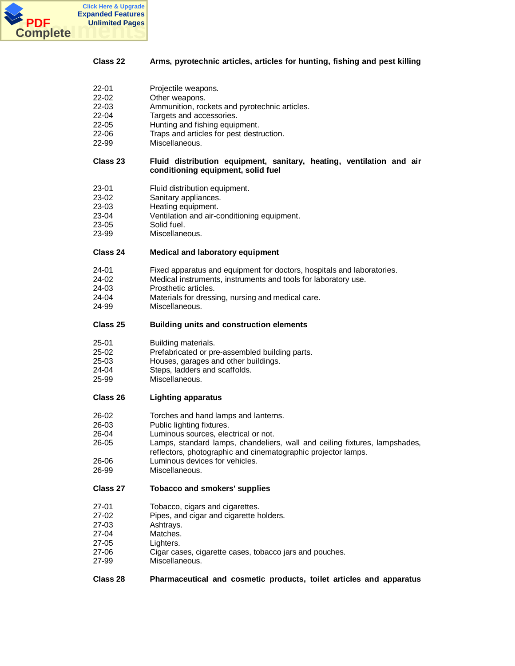

## **Class 22 Arms, pyrotechnic articles, articles for hunting, fishing and pest killing**

| 22-01 | Projectile weapons. |
|-------|---------------------|
|-------|---------------------|

- 22-02 Other weapons.
- 22-03 Ammunition, rockets and pyrotechnic articles.
- 22-04 Targets and accessories.<br>22-05 Hunting and fishing equip
- Hunting and fishing equipment.
- 22-06 Traps and articles for pest destruction.<br>22-99 Miscellaneous.
- Miscellaneous.

## **Class 23 Fluid distribution equipment, sanitary, heating, ventilation and air conditioning equipment, solid fuel**

- 23-01 Fluid distribution equipment.
- 23-02 Sanitary appliances.
- 23-03 Heating equipment.
- 23-04 Ventilation and air-conditioning equipment.
- 23-05 Solid fuel.
- 23-99 Miscellaneous.

# **Class 24 Medical and laboratory equipment**

- 24-01 Fixed apparatus and equipment for doctors, hospitals and laboratories.
- 24-02 Medical instruments, instruments and tools for laboratory use.
- 24-03 Prosthetic articles.
- 24-04 Materials for dressing, nursing and medical care.
- 24-99 Miscellaneous.

# **Class 25 Building units and construction elements**

- 25-01 Building materials.
- 25-02 Prefabricated or pre-assembled building parts.
- 25-03 Houses, garages and other buildings.<br>24-04 Steps, ladders and scaffolds.
- Steps, ladders and scaffolds.
- 25-99 Miscellaneous.

# **Class 26 Lighting apparatus**

- 26-02 Torches and hand lamps and lanterns.<br>26-03 Public lighting fixtures.
- Public lighting fixtures.
- 26-04 Luminous sources, electrical or not.
- 26-05 Lamps, standard lamps, chandeliers, wall and ceiling fixtures, lampshades, reflectors, photographic and cinematographic projector lamps.
- 26-06 Luminous devices for vehicles.
- 26-99 Miscellaneous.

## **Class 27 Tobacco and smokers' supplies**

- 27-01 Tobacco, cigars and cigarettes.
- 27-02 Pipes, and cigar and cigarette holders.
- 27-03 Ashtrays.
- 27-04 Matches.
- 27-05 Lighters.
- 27-06 Cigar cases, cigarette cases, tobacco jars and pouches.
- 27-99 Miscellaneous.
- **Class 28 Pharmaceutical and cosmetic products, toilet articles and apparatus**